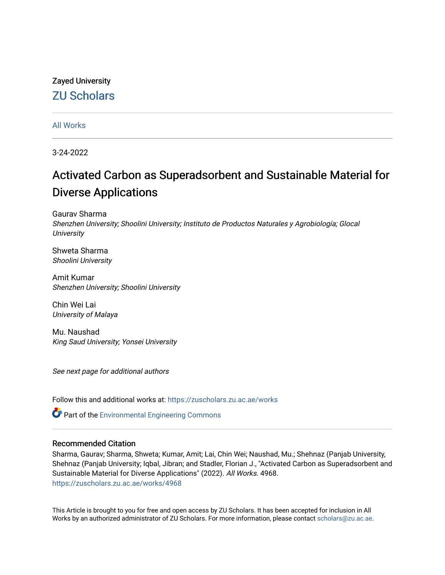# Zayed University [ZU Scholars](https://zuscholars.zu.ac.ae/)

# [All Works](https://zuscholars.zu.ac.ae/works)

3-24-2022

# Activated Carbon as Superadsorbent and Sustainable Material for Diverse Applications

Gaurav Sharma Shenzhen University; Shoolini University; Instituto de Productos Naturales y Agrobiología; Glocal **University** 

Shweta Sharma Shoolini University

Amit Kumar Shenzhen University; Shoolini University

Chin Wei Lai University of Malaya

Mu. Naushad King Saud University; Yonsei University

See next page for additional authors

Follow this and additional works at: [https://zuscholars.zu.ac.ae/works](https://zuscholars.zu.ac.ae/works?utm_source=zuscholars.zu.ac.ae%2Fworks%2F4968&utm_medium=PDF&utm_campaign=PDFCoverPages)

Part of the [Environmental Engineering Commons](https://network.bepress.com/hgg/discipline/254?utm_source=zuscholars.zu.ac.ae%2Fworks%2F4968&utm_medium=PDF&utm_campaign=PDFCoverPages)

# Recommended Citation

Sharma, Gaurav; Sharma, Shweta; Kumar, Amit; Lai, Chin Wei; Naushad, Mu.; Shehnaz (Panjab University, Shehnaz (Panjab University; Iqbal, Jibran; and Stadler, Florian J., "Activated Carbon as Superadsorbent and Sustainable Material for Diverse Applications" (2022). All Works. 4968. [https://zuscholars.zu.ac.ae/works/4968](https://zuscholars.zu.ac.ae/works/4968?utm_source=zuscholars.zu.ac.ae%2Fworks%2F4968&utm_medium=PDF&utm_campaign=PDFCoverPages)

This Article is brought to you for free and open access by ZU Scholars. It has been accepted for inclusion in All Works by an authorized administrator of ZU Scholars. For more information, please contact [scholars@zu.ac.ae](mailto:scholars@zu.ac.ae).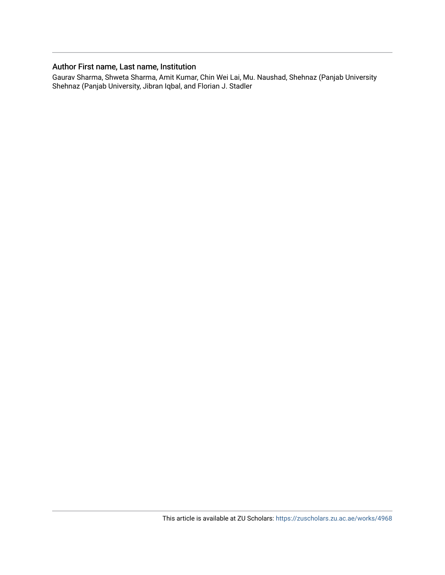# Author First name, Last name, Institution

Gaurav Sharma, Shweta Sharma, Amit Kumar, Chin Wei Lai, Mu. Naushad, Shehnaz (Panjab University Shehnaz (Panjab University, Jibran Iqbal, and Florian J. Stadler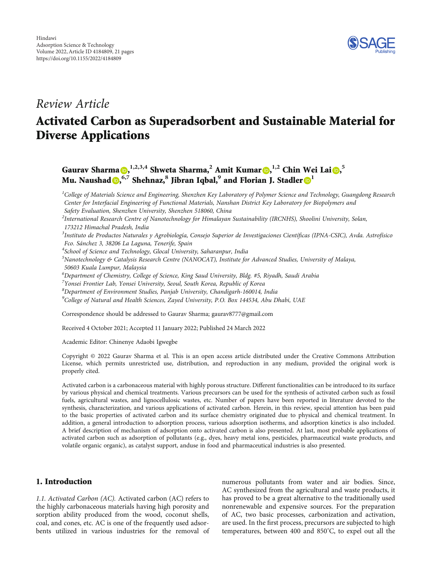

# Review Article

# Activated Carbon as Superadsorbent and Sustainable Material for Diverse Applications

Gaurav Sharma (D[,](https://orcid.org/0000-0002-7549-5015) <sup>1,2,3,4</sup> Shweta Sharma,<sup>2</sup> Amit Kumar (D, <sup>1,2</sup> Chin Wei Lai (D, <sup>5</sup> Mu. Naushad , **6,7** Shehnaz,**<sup>8</sup>** Jibran Iqbal,**<sup>9</sup>** and Florian J. Stadler **<sup>1</sup>**

 ${}^{1}$ College of Materials Science and Engineering, Shenzhen Key Laboratory of Polymer Science and Technology, Guangdong Research Center for Interfacial Engineering of Functional Materials, Nanshan District Key Laboratory for Biopolymers and Safety Evaluation, Shenzhen University, Shenzhen 518060, China

 $^2$ International Research Centre of Nanotechnology for Himalayan Sustainability (IRCNHS), Shoolini University, Solan, 173212 Himachal Pradesh, India

<sup>3</sup>Instituto de Productos Naturales y Agrobiología, Consejo Superior de Investigaciones Científicas (IPNA-CSIC), Avda. Astrofísico Fco. Sánchez 3, 38206 La Laguna, Tenerife, Spain

<sup>4</sup>School of Science and Technology, Glocal University, Saharanpur, India

 $^5$ Nanotechnology & Catalysis Research Centre (NANOCAT), Institute for Advanced Studies, University of Malaya, 50603 Kuala Lumpur, Malaysia

6 Department of Chemistry, College of Science, King Saud University, Bldg. #5, Riyadh, Saudi Arabia

 $^7$ Yonsei Frontier Lab, Yonsei University, Seoul, South Korea, Republic of Korea

 ${}^{8}$ Department of Environment Studies, Panjab University, Chandigarh-160014, India

<sup>9</sup>College of Natural and Health Sciences, Zayed University, P.O. Box 144534, Abu Dhabi, UAE

Correspondence should be addressed to Gaurav Sharma; gaurav8777@gmail.com

Received 4 October 2021; Accepted 11 January 2022; Published 24 March 2022

Academic Editor: Chinenye Adaobi Igwegbe

Copyright © 2022 Gaurav Sharma et al. This is an open access article distributed under the [Creative Commons Attribution](https://creativecommons.org/licenses/by/4.0/) [License,](https://creativecommons.org/licenses/by/4.0/) which permits unrestricted use, distribution, and reproduction in any medium, provided the original work is properly cited.

Activated carbon is a carbonaceous material with highly porous structure. Different functionalities can be introduced to its surface by various physical and chemical treatments. Various precursors can be used for the synthesis of activated carbon such as fossil fuels, agricultural wastes, and lignocellulosic wastes, etc. Number of papers have been reported in literature devoted to the synthesis, characterization, and various applications of activated carbon. Herein, in this review, special attention has been paid to the basic properties of activated carbon and its surface chemistry originated due to physical and chemical treatment. In addition, a general introduction to adsorption process, various adsorption isotherms, and adsorption kinetics is also included. A brief description of mechanism of adsorption onto activated carbon is also presented. At last, most probable applications of activated carbon such as adsorption of pollutants (e.g., dyes, heavy metal ions, pesticides, pharmaceutical waste products, and volatile organic organic), as catalyst support, anduse in food and pharmaceutical industries is also presented.

# 1. Introduction

1.1. Activated Carbon (AC). Activated carbon (AC) refers to the highly carbonaceous materials having high porosity and sorption ability produced from the wood, coconut shells, coal, and cones, etc. AC is one of the frequently used adsorbents utilized in various industries for the removal of numerous pollutants from water and air bodies. Since, AC synthesized from the agricultural and waste products, it has proved to be a great alternative to the traditionally used nonrenewable and expensive sources. For the preparation of AC, two basic processes, carbonization and activation, are used. In the first process, precursors are subjected to high temperatures, between 400 and 850° C, to expel out all the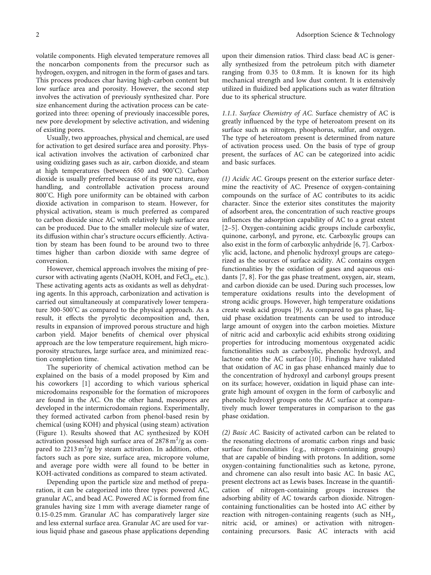volatile components. High elevated temperature removes all the noncarbon components from the precursor such as hydrogen, oxygen, and nitrogen in the form of gases and tars. This process produces char having high-carbon content but low surface area and porosity. However, the second step involves the activation of previously synthesized char. Pore size enhancement during the activation process can be categorized into three: opening of previously inaccessible pores, new pore development by selective activation, and widening of existing pores.

Usually, two approaches, physical and chemical, are used for activation to get desired surface area and porosity. Physical activation involves the activation of carbonized char using oxidizing gases such as air, carbon dioxide, and steam at high temperatures (between 650 and 900° C). Carbon dioxide is usually preferred because of its pure nature, easy handling, and controllable activation process around 800° C. High pore uniformity can be obtained with carbon dioxide activation in comparison to steam. However, for physical activation, steam is much preferred as compared to carbon dioxide since AC with relatively high surface area can be produced. Due to the smaller molecule size of water, its diffusion within char's structure occurs efficiently. Activation by steam has been found to be around two to three times higher than carbon dioxide with same degree of conversion.

However, chemical approach involves the mixing of precursor with activating agents (NaOH, KOH, and FeCl<sub>3</sub>, etc.). These activating agents acts as oxidants as well as dehydrating agents. In this approach, carbonization and activation is carried out simultaneously at comparatively lower temperature 300-500° C as compared to the physical approach. As a result, it effects the pyrolytic decomposition and, then, results in expansion of improved porous structure and high carbon yield. Major benefits of chemical over physical approach are the low temperature requirement, high microporosity structures, large surface area, and minimized reaction completion time.

The superiority of chemical activation method can be explained on the basis of a model proposed by Kim and his coworkers [[1](#page-17-0)] according to which various spherical microdomains responsible for the formation of micropores are found in the AC. On the other hand, mesopores are developed in the intermicrodomain regions. Experimentally, they formed activated carbon from phenol-based resin by chemical (using KOH) and physical (using steam) activation (Figure [1](#page-4-0)). Results showed that AC synthesized by KOH activation possessed high surface area of  $2878 \text{ m}^2/\text{g}$  as compared to  $2213 \text{ m}^2/\text{g}$  by steam activation. In addition, other factors such as pore size, surface area, micropore volume, and average pore width were all found to be better in KOH-activated conditions as compared to steam activated.

Depending upon the particle size and method of preparation, it can be categorized into three types: powered AC, granular AC, and bead AC. Powered AC is formed from fine granules having size 1 mm with average diameter range of 0.15-0.25 mm. Granular AC has comparatively larger size and less external surface area. Granular AC are used for various liquid phase and gaseous phase applications depending upon their dimension ratios. Third class: bead AC is generally synthesized from the petroleum pitch with diameter ranging from 0.35 to 0.8 mm. It is known for its high mechanical strength and low dust content. It is extensively utilized in fluidized bed applications such as water filtration due to its spherical structure.

1.1.1. Surface Chemistry of AC. Surface chemistry of AC is greatly influenced by the type of heteroatom present on its surface such as nitrogen, phosphorus, sulfur, and oxygen. The type of heteroatom present is determined from nature of activation process used. On the basis of type of group present, the surfaces of AC can be categorized into acidic and basic surfaces.

(1) Acidic AC. Groups present on the exterior surface determine the reactivity of AC. Presence of oxygen-containing compounds on the surface of AC contributes to its acidic character. Since the exterior sites constitutes the majority of adsorbent area, the concentration of such reactive groups influences the adsorption capability of AC to a great extent [\[2](#page-17-0)–[5](#page-17-0)]. Oxygen-containing acidic groups include carboxylic, quinone, carbonyl, and pyrone, etc. Carboxylic groups can also exist in the form of carboxylic anhydride [[6, 7](#page-17-0)]. Carboxylic acid, lactone, and phenolic hydroxyl groups are categorized as the sources of surface acidity. AC contains oxygen functionalities by the oxidation of gases and aqueous oxidants [[7, 8](#page-17-0)]. For the gas phase treatment, oxygen, air, steam, and carbon dioxide can be used. During such processes, low temperature oxidations results into the development of strong acidic groups. However, high temperature oxidations create weak acid groups [[9\]](#page-17-0). As compared to gas phase, liquid phase oxidation treatments can be used to introduce large amount of oxygen into the carbon moieties. Mixture of nitric acid and carboxylic acid exhibits strong oxidizing properties for introducing momentous oxygenated acidic functionalities such as carboxylic, phenolic hydroxyl, and lactone onto the AC surface [[10](#page-17-0)]. Findings have validated that oxidation of AC in gas phase enhanced mainly due to the concentration of hydroxyl and carbonyl groups present on its surface; however, oxidation in liquid phase can integrate high amount of oxygen in the form of carboxylic and phenolic hydroxyl groups onto the AC surface at comparatively much lower temperatures in comparison to the gas phase oxidation.

(2) Basic AC. Basicity of activated carbon can be related to the resonating electrons of aromatic carbon rings and basic surface functionalities (e.g., nitrogen-containing groups) that are capable of binding with protons. In addition, some oxygen-containing functionalities such as ketone, pyrone, and chromene can also result into basic AC. In basic AC, present electrons act as Lewis bases. Increase in the quantification of nitrogen-containing groups increases the adsorbing ability of AC towards carbon dioxide. Nitrogencontaining functionalities can be hosted into AC either by reaction with nitrogen-containing reagents (such as  $NH<sub>3</sub>$ , nitric acid, or amines) or activation with nitrogencontaining precursors. Basic AC interacts with acid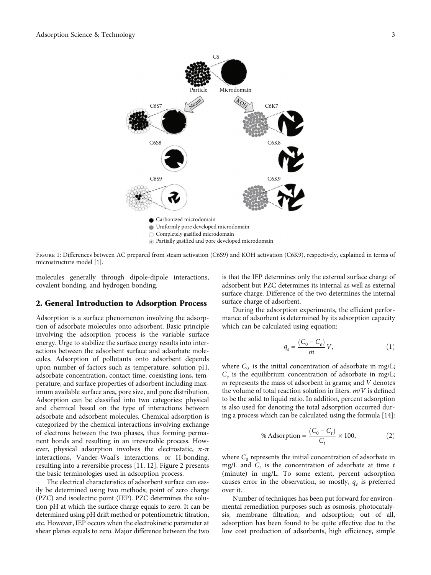<span id="page-4-0"></span>

FIGURE 1: Differences between AC prepared from steam activation (C6S9) and KOH activation (C6K9), respectively, explained in terms of microstructure model [\[1\]](#page-17-0).

molecules generally through dipole-dipole interactions, covalent bonding, and hydrogen bonding.

#### 2. General Introduction to Adsorption Process

Adsorption is a surface phenomenon involving the adsorption of adsorbate molecules onto adsorbent. Basic principle involving the adsorption process is the variable surface energy. Urge to stabilize the surface energy results into interactions between the adsorbent surface and adsorbate molecules. Adsorption of pollutants onto adsorbent depends upon number of factors such as temperature, solution pH, adsorbate concentration, contact time, coexisting ions, temperature, and surface properties of adsorbent including maximum available surface area, pore size, and pore distribution. Adsorption can be classified into two categories: physical and chemical based on the type of interactions between adsorbate and adsorbent molecules. Chemical adsorption is categorized by the chemical interactions involving exchange of electrons between the two phases, thus forming permanent bonds and resulting in an irreversible process. However, physical adsorption involves the electrostatic, *π*-*π* interactions, Vander-Waal's interactions, or H-bonding, resulting into a reversible process [[11, 12](#page-17-0)]. Figure [2](#page-5-0) presents the basic terminologies used in adsorption process.

The electrical characteristics of adsorbent surface can easily be determined using two methods; point of zero charge (PZC) and isoelectric point (IEP). PZC determines the solution pH at which the surface charge equals to zero. It can be determined using pH drift method or potentiometric titration, etc. However, IEP occurs when the electrokinetic parameter at shear planes equals to zero. Major difference between the two

is that the IEP determines only the external surface charge of adsorbent but PZC determines its internal as well as external surface charge. Difference of the two determines the internal surface charge of adsorbent.

During the adsorption experiments, the efficient performance of adsorbent is determined by its adsorption capacity which can be calculated using equation:

$$
q_e = \frac{(C_0 - C_e)}{m} V,\tag{1}
$$

where  $C_0$  is the initial concentration of adsorbate in mg/L;  $C_e$  is the equilibrium concentration of adsorbate in mg/L; *m* represents the mass of adsorbent in grams; and *V* denotes the volume of total reaction solution in liters. *m*/*V* is defined to be the solid to liquid ratio. In addition, percent adsorption is also used for denoting the total adsorption occurred during a process which can be calculated using the formula [[14](#page-17-0)]:

% Adsorption = 
$$
\frac{(C_0 - C_t)}{C_t} \times 100,
$$
 (2)

where  $C_0$  represents the initial concentration of adsorbate in mg/L and  $C_t$  is the concentration of adsorbate at time  $t$ (minute) in mg/L. To some extent, percent adsorption causes error in the observation, so mostly,  $q_e$  is preferred over it.

Number of techniques has been put forward for environmental remediation purposes such as osmosis, photocatalysis, membrane filtration, and adsorption; out of all, adsorption has been found to be quite effective due to the low cost production of adsorbents, high efficiency, simple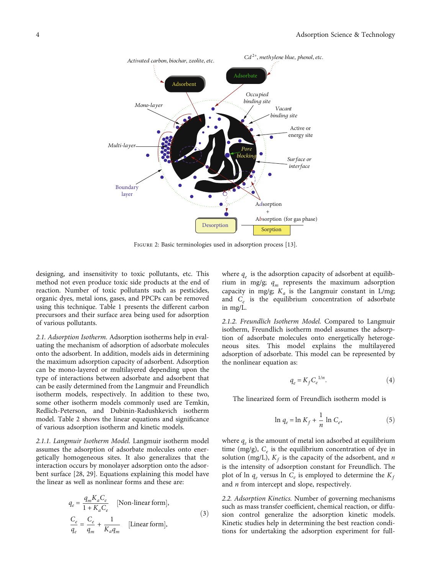<span id="page-5-0"></span>

Figure 2: Basic terminologies used in adsorption process [[13\]](#page-17-0).

designing, and insensitivity to toxic pollutants, etc. This method not even produce toxic side products at the end of reaction. Number of toxic pollutants such as pesticides, organic dyes, metal ions, gases, and PPCPs can be removed using this technique. Table [1](#page-6-0) presents the different carbon precursors and their surface area being used for adsorption of various pollutants.

2.1. Adsorption Isotherm. Adsorption isotherms help in evaluating the mechanism of adsorption of adsorbate molecules onto the adsorbent. In addition, models aids in determining the maximum adsorption capacity of adsorbent. Adsorption can be mono-layered or multilayered depending upon the type of interactions between adsorbate and adsorbent that can be easily determined from the Langmuir and Freundlich isotherm models, respectively. In addition to these two, some other isotherm models commonly used are Temkin, Redlich-Peterson, and Dubinin-Radushkevich isotherm model. Table [2](#page-6-0) shows the linear equations and significance of various adsorption isotherm and kinetic models.

2.1.1. Langmuir Isotherm Model. Langmuir isotherm model assumes the adsorption of adsorbate molecules onto energetically homogeneous sites. It also generalizes that the interaction occurs by monolayer adsorption onto the adsorbent surface [\[28](#page-18-0), [29](#page-18-0)]. Equations explaining this model have the linear as well as nonlinear forms and these are:

$$
q_e = \frac{q_m K_a C_e}{1 + K_a C_e}
$$
 [Non-linear form],  
\n
$$
\frac{C_e}{q_e} = \frac{C_e}{q_m} + \frac{1}{K_a q_m}
$$
 [Linear form], (3)

where  $q_e$  is the adsorption capacity of adsorbent at equilibrium in mg/g;  $q_m$  represents the maximum adsorption capacity in mg/g;  $K_a$  is the Langmuir constant in L/mg; and  $C_e$  is the equilibrium concentration of adsorbate in mg/L.

2.1.2. Freundlich Isotherm Model. Compared to Langmuir isotherm, Freundlich isotherm model assumes the adsorption of adsorbate molecules onto energetically heterogeneous sites. This model explains the multilayered adsorption of adsorbate. This model can be represented by the nonlinear equation as:

$$
q_e = K_f C_e^{1/n}.\tag{4}
$$

The linearized form of Freundlich isotherm model is

$$
\ln q_e = \ln K_f + \frac{1}{n} \ln C_e,\tag{5}
$$

where  $q_e$  is the amount of metal ion adsorbed at equilibrium time (mg/g),  $C_e$  is the equilibrium concentration of dye in solution (mg/L),  $K_f$  is the capacity of the adsorbent, and *n* is the intensity of adsorption constant for Freundlich. The plot of ln  $q_e$  versus ln  $C_e$  is employed to determine the  $K_f$ and *n* from intercept and slope, respectively.

2.2. Adsorption Kinetics. Number of governing mechanisms such as mass transfer coefficient, chemical reaction, or diffusion control generalize the adsorption kinetic models. Kinetic studies help in determining the best reaction conditions for undertaking the adsorption experiment for full-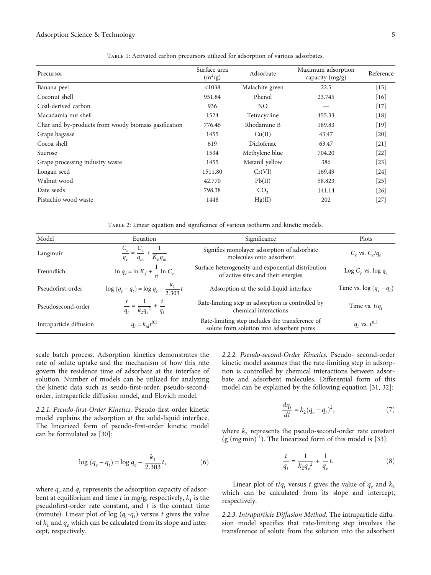#### <span id="page-6-0"></span>Adsorption Science & Technology 5

| Precursor                                            | Surface area<br>$(m^2/g)$ | Adsorbate       | Maximum adsorption<br>capacity (mg/g) | Reference |
|------------------------------------------------------|---------------------------|-----------------|---------------------------------------|-----------|
| Banana peel                                          | < 1038                    | Malachite green | 22.5                                  | $[15]$    |
| Coconut shell                                        | 951.84                    | Phenol          | 23.745                                | $[16]$    |
| Coal-derived carbon                                  | 936                       | NO.             |                                       | $[17]$    |
| Macadamia nut shell                                  | 1524                      | Tetracycline    | 455.33                                | $[18]$    |
| Char and by-products from woody biomass gasification | 776.46                    | Rhodamine B     | 189.83                                | $[19]$    |
| Grape bagasse                                        | 1455                      | Cu(II)          | 43.47                                 | $[20]$    |
| Cocoa shell                                          | 619                       | Diclofenac      | 63.47                                 | $[21]$    |
| Sucrose                                              | 1534                      | Methylene blue  | 704.20                                | $[22]$    |
| Grape processing industry waste                      | 1455                      | Metanil yellow  | 386                                   | $[23]$    |
| Longan seed                                          | 1511.80                   | Cr(VI)          | 169.49                                | $[24]$    |
| Walnut wood                                          | 42.770                    | Pb(II)          | 58.823                                | $[25]$    |
| Date seeds                                           | 798.38                    | CO <sub>2</sub> | 141.14                                | $[26]$    |
| Pistachio wood waste                                 | 1448                      | Hg(II)          | 202                                   | $[27]$    |

Table 1: Activated carbon precursors utilized for adsorption of various adsorbates.

Table 2: Linear equation and significance of various isotherm and kinetic models.

| Model                   | Equation                                                                     | Significance                                                                                 | Plots                       |
|-------------------------|------------------------------------------------------------------------------|----------------------------------------------------------------------------------------------|-----------------------------|
| Langmuir                | $\frac{C_e}{C_e} = \frac{C_e}{C_e} + \frac{1}{C_e}$<br>$q_e$ $q_m$ $K_a q_m$ | Signifies monolayer adsorption of adsorbate<br>molecules onto adsorbent                      | $C_e$ vs. $C_e/q_e$         |
| Freundlich              | $\ln q_e = \ln K_f + \frac{1}{n} \ln C_e$                                    | Surface heterogeneity and exponential distribution<br>of active sites and their energies     | Log $C_e$ vs. log $q_e$     |
| Pseudofirst-order       | $\log (q_e - q_t) = \log q_e - \frac{k_1}{2.303} t$                          | Adsorption at the solid-liquid interface                                                     | Time vs. $\log (q_e - q_t)$ |
| Pseudosecond-order      | $\frac{t}{q_t} = \frac{1}{k_2 q_e^2} + \frac{t}{q_t}$                        | Rate-limiting step in adsorption is controlled by<br>chemical interactions                   | Time vs. $t/q_t$            |
| Intraparticle diffusion | $q_t = k_{id} t^{0.5}$                                                       | Rate-limiting step includes the transference of<br>solute from solution into adsorbent pores | $q_t$ vs. $t^{0.5}$         |

scale batch process. Adsorption kinetics demonstrates the rate of solute uptake and the mechanism of how this rate govern the residence time of adsorbate at the interface of solution. Number of models can be utilized for analyzing the kinetic data such as seudo-first-order, pseudo-secondorder, intraparticle diffusion model, and Elovich model.

2.2.1. Pseudo-first-Order Kinetics. Pseudo-first-order kinetic model explains the adsorption at the solid-liquid interface. The linearized form of pseudo-first-order kinetic model can be formulated as [[30](#page-18-0)]:

$$
\log (q_e - q_t) = \log q_e - \frac{k_1}{2.303}t,\tag{6}
$$

where  $q_e$  and  $q_t$  represents the adsorption capacity of adsorbent at equilibrium and time  $t$  in mg/g, respectively,  $k_1$  is the pseudofirst-order rate constant, and *t* is the contact time (minute). Linear plot of log  $(q_e - q_t)$  versus *t* gives the value of  $k_1$  and  $q_e$  which can be calculated from its slope and intercept, respectively.

2.2.2. Pseudo-second-Order Kinetics. Pseudo- second-order kinetic model assumes that the rate-limiting step in adsorption is controlled by chemical interactions between adsorbate and adsorbent molecules. Differential form of this model can be explained by the following equation [\[31, 32\]](#page-18-0):

$$
\frac{dq_t}{dt} = k_2(q_e - q_t)^2,\tag{7}
$$

where  $k_2$  represents the pseudo-second-order rate constant  $(g (mg min)<sup>-1</sup>)$ . The linearized form of this model is [[33](#page-18-0)]:

$$
\frac{t}{q_t} = \frac{1}{k_2 q_e^2} + \frac{1}{q_e} t.
$$
 (8)

Linear plot of  $t/q_t$  versus *t* gives the value of  $q_e$  and  $k_2$ which can be calculated from its slope and intercept, respectively.

2.2.3. Intraparticle Diffusion Method. The intraparticle diffusion model specifies that rate-limiting step involves the transference of solute from the solution into the adsorbent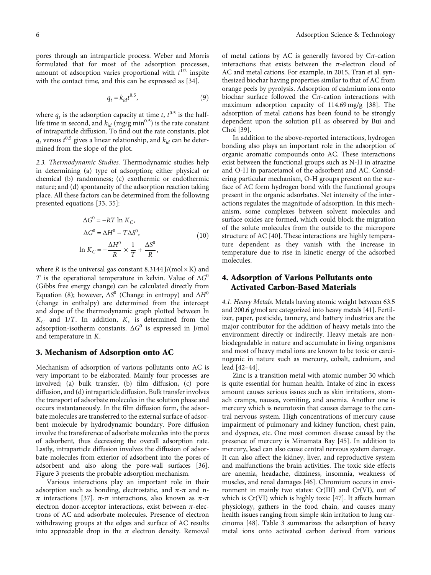where  $q_t$  is the adsorption capacity at time *t*,  $t^{0.5}$  is the halflife time in second, and  $k_{id}$  (mg/g min<sup>0.5</sup>) is the rate constant of intraparticle diffusion. To find out the rate constants, plot  $q_t$  versus  $t^{0.5}$  gives a linear relationship, and  $k_{id}$  can be determined from the slope of the plot.

amount of adsorption varies proportional with  $t^{1/2}$  inspite with the contact time, and this can be expressed as [\[34\]](#page-18-0).

2.3. Thermodynamic Studies. Thermodynamic studies help in determining (a) type of adsorption; either physical or chemical (b) randomness; (c) exothermic or endothermic nature; and (d) spontaneity of the adsorption reaction taking place. All these factors can be determined from the following presented equations [[33](#page-18-0), [35](#page-18-0)]:

$$
\Delta G^{0} = -RT \ln K_{C},
$$
  
\n
$$
\Delta G^{0} = \Delta H^{0} - T\Delta S^{0},
$$
  
\n
$$
\ln K_{C} = -\frac{\Delta H^{0}}{R} \times \frac{1}{T} + \frac{\Delta S^{0}}{R},
$$
\n(10)

where *R* is the universal gas constant 8.3144 J/(mol $\times$ K) and *T* is the operational temperature in kelvin. Value of  $\Delta G^0$ (Gibbs free energy change) can be calculated directly from Equation ([8](#page-6-0)); however,  $\Delta S^0$  (Change in entropy) and  $\Delta H^0$ (change in enthalpy) are determined from the intercept and slope of the thermodynamic graph plotted between ln  $K_C$  and 1/*T*. In addition,  $K_c$  is determined from the adsorption-isotherm constants. Δ*G*<sup>0</sup> is expressed in J/mol and temperature in *K*.

#### 3. Mechanism of Adsorption onto AC

Mechanism of adsorption of various pollutants onto AC is very important to be elaborated. Mainly four processes are involved; (a) bulk transfer, (b) film diffusion, (c) pore diffusion, and (d) intraparticle diffusion. Bulk transfer involves the transport of adsorbate molecules in the solution phase and occurs instantaneously. In the film diffusion form, the adsorbate molecules are transferred to the external surface of adsorbent molecule by hydrodynamic boundary. Pore diffusion involve the transference of adsorbate molecules into the pores of adsorbent, thus decreasing the overall adsorption rate. Lastly, intraparticle diffusion involves the diffusion of adsorbate molecules from exterior of adsorbent into the pores of adsorbent and also along the pore-wall surfaces [\[36](#page-18-0)]. Figure [3](#page-8-0) presents the probable adsorption mechanism.

Various interactions play an important role in their adsorption such as bonding, electrostatic, and *π*-*π* and n*π* interactions [\[37\]](#page-18-0). *π*-*π* interactions, also known as *π*-*π* electron donor-acceptor interactions, exist between *π*-electrons of AC and adsorbate molecules. Presence of electron withdrawing groups at the edges and surface of AC results into appreciable drop in the  $\pi$  electron density. Removal

of metal cations by AC is generally favored by C*π*-cation interactions that exists between the *π*-electron cloud of AC and metal cations. For example, in 2015, Tran et al. synthesized biochar having properties similar to that of AC from orange peels by pyrolysis. Adsorption of cadmium ions onto biochar surface followed the C*π*-cation interactions with maximum adsorption capacity of 114.69 mg/g [[38](#page-18-0)]. The adsorption of metal cations has been found to be strongly dependent upon the solution pH as observed by Bui and Choi [[39](#page-18-0)].

In addition to the above-reported interactions, hydrogen bonding also plays an important role in the adsorption of organic aromatic compounds onto AC. These interactions exist between the functional groups such as N-H in atrazine and O-H in paracetamol of the adsorbent and AC. Considering particular mechanism, O-H groups present on the surface of AC form hydrogen bond with the functional groups present in the organic adsorbates. Net intensity of the interactions regulates the magnitude of adsorption. In this mechanism, some complexes between solvent molecules and surface oxides are formed, which could block the migration of the solute molecules from the outside to the micropore structure of AC [[40](#page-18-0)]. These interactions are highly temperature dependent as they vanish with the increase in temperature due to rise in kinetic energy of the adsorbed molecules.

## 4. Adsorption of Various Pollutants onto Activated Carbon-Based Materials

4.1. Heavy Metals. Metals having atomic weight between 63.5 and 200.6 g/mol are categorized into heavy metals [[41](#page-18-0)]. Fertilizer, paper, pesticide, tannery, and battery industries are the major contributor for the addition of heavy metals into the environment directly or indirectly. Heavy metals are nonbiodegradable in nature and accumulate in living organisms and most of heavy metal ions are known to be toxic or carcinogenic in nature such as mercury, cobalt, cadmium, and lead [\[42](#page-18-0)–[44\]](#page-18-0).

Zinc is a transition metal with atomic number 30 which is quite essential for human health. Intake of zinc in excess amount causes serious issues such as skin irritations, stomach cramps, nausea, vomiting, and anemia. Another one is mercury which is neurotoxin that causes damage to the central nervous system. High concentrations of mercury cause impairment of pulmonary and kidney function, chest pain, and dyspnea, etc. One most common disease caused by the presence of mercury is Minamata Bay [\[45\]](#page-18-0). In addition to mercury, lead can also cause central nervous system damage. It can also affect the kidney, liver, and reproductive system and malfunctions the brain activities. The toxic side effects are anemia, headache, dizziness, insomnia, weakness of muscles, and renal damages [[46](#page-18-0)]. Chromium occurs in environment in mainly two states:  $Cr(III)$  and  $Cr(VI)$ , out of which is Cr(VI) which is highly toxic [\[47\]](#page-18-0). It affects human physiology, gathers in the food chain, and causes many health issues ranging from simple skin irritation to lung carcinoma [\[48\]](#page-18-0). Table [3](#page-9-0) summarizes the adsorption of heavy metal ions onto activated carbon derived from various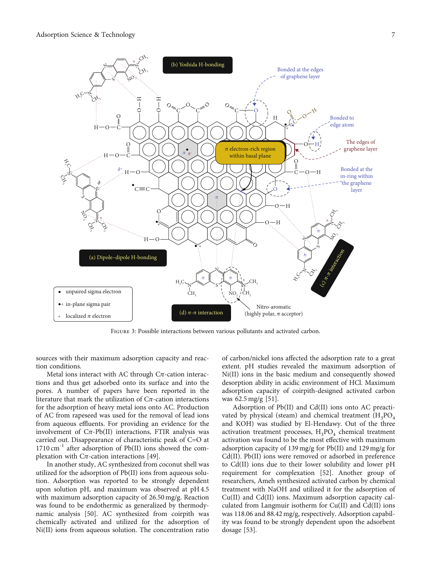<span id="page-8-0"></span>

Figure 3: Possible interactions between various pollutants and activated carbon.

sources with their maximum adsorption capacity and reaction conditions.

Metal ions interact with AC through C*π*-cation interactions and thus get adsorbed onto its surface and into the pores. A number of papers have been reported in the literature that mark the utilization of C*π*-cation interactions for the adsorption of heavy metal ions onto AC. Production of AC from rapeseed was used for the removal of lead ions from aqueous effluents. For providing an evidence for the involvement of  $C_{\pi}$ -Pb(II) interactions, FTIR analysis was carried out. Disappearance of characteristic peak of C=O at 1710 cm<sup>-1</sup> after adsorption of Pb(II) ions showed the complexation with C*π*-cation interactions [[49](#page-18-0)].

In another study, AC synthesized from coconut shell was utilized for the adsorption of Pb(II) ions from aqueous solution. Adsorption was reported to be strongly dependent upon solution pH, and maximum was observed at pH 4.5 with maximum adsorption capacity of 26.50 mg/g. Reaction was found to be endothermic as generalized by thermodynamic analysis [\[50\]](#page-18-0). AC synthesized from coirpith was chemically activated and utilized for the adsorption of Ni(II) ions from aqueous solution. The concentration ratio

of carbon/nickel ions affected the adsorption rate to a great extent. pH studies revealed the maximum adsorption of Ni(II) ions in the basic medium and consequently showed desorption ability in acidic environment of HCl. Maximum adsorption capacity of coirpith-designed activated carbon was 62.5 mg/g [[51](#page-18-0)].

Adsorption of Pb(II) and Cd(II) ions onto AC preactivated by physical (steam) and chemical treatment  $(H_3PO_4)$ and KOH) was studied by El-Hendawy. Out of the three activation treatment processes,  $H_3PO_4$  chemical treatment activation was found to be the most effective with maximum adsorption capacity of 139 mg/g for Pb(II) and 129 mg/g for Cd(II). Pb(II) ions were removed or adsorbed in preference to Cd(II) ions due to their lower solubility and lower pH requirement for complexation [[52](#page-18-0)]. Another group of researchers, Ameh synthesized activated carbon by chemical treatment with NaOH and utilized it for the adsorption of Cu(II) and Cd(II) ions. Maximum adsorption capacity calculated from Langmuir isotherm for Cu(II) and Cd(II) ions was 118.06 and 88.42 mg/g, respectively. Adsorption capability was found to be strongly dependent upon the adsorbent dosage [\[53](#page-18-0)].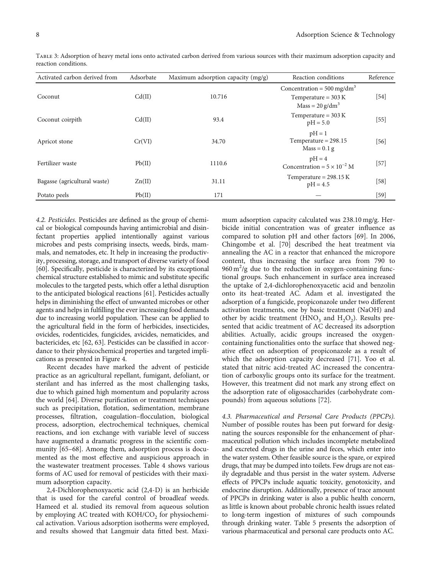| Activated carbon derived from | Adsorbate | Maximum adsorption capacity (mg/g) | Reaction conditions                                                                 | Reference |
|-------------------------------|-----------|------------------------------------|-------------------------------------------------------------------------------------|-----------|
| Coconut                       | Cd(II)    | 10.716                             | Concentration = $500 \text{ mg/dm}^3$<br>Temperature = $303 K$<br>$Mass = 20 g/dm3$ | $[54]$    |
| Coconut coirpith              | Cd(II)    | 93.4                               | Temperature = $303 K$<br>$pH = 5.0$                                                 | $[55]$    |
| Apricot stone                 | Cr(VI)    | 34.70                              | $pH = 1$<br>Temperature = $298.15$<br>$Mass = 0.1 g$                                | [56]      |
| Fertilizer waste              | Pb(II)    | 1110.6                             | $pH = 4$<br>Concentration = $5 \times 10^{-2}$ M                                    | $[57]$    |
| Bagasse (agricultural waste)  | Zn(II)    | 31.11                              | Temperature = $298.15 K$<br>$pH = 4.5$                                              | [58]      |
| Potato peels                  | Pb(II)    | 171                                |                                                                                     | $[59]$    |

<span id="page-9-0"></span>Table 3: Adsorption of heavy metal ions onto activated carbon derived from various sources with their maximum adsorption capacity and reaction conditions.

4.2. Pesticides. Pesticides are defined as the group of chemical or biological compounds having antimicrobial and disinfectant properties applied intentionally against various microbes and pests comprising insects, weeds, birds, mammals, and nematodes, etc. It help in increasing the productivity, processing, storage, and transport of diverse variety of food [\[60\]](#page-19-0). Specifically, pesticide is characterized by its exceptional chemical structure established to mimic and substitute specific molecules to the targeted pests, which offer a lethal disruption to the anticipated biological reactions [[61](#page-19-0)]. Pesticides actually helps in diminishing the effect of unwanted microbes or other agents and helps in fulfilling the ever increasing food demands due to increasing world population. These can be applied to the agricultural field in the form of herbicides, insecticides, ovicides, rodenticides, fungicides, avicides, nematicides, and bactericides, etc [[62](#page-19-0), [63](#page-19-0)]. Pesticides can be classified in accordance to their physicochemical properties and targeted implications as presented in Figure [4](#page-10-0).

Recent decades have marked the advent of pesticide practice as an agricultural repellant, fumigant, defoliant, or sterilant and has inferred as the most challenging tasks, due to which gained high momentum and popularity across the world [[64](#page-19-0)]. Diverse purification or treatment techniques such as precipitation, flotation, sedimentation, membrane processes, filtration, coagulation–flocculation, biological process, adsorption, electrochemical techniques, chemical reactions, and ion exchange with variable level of success have augmented a dramatic progress in the scientific community [[65](#page-19-0)–[68](#page-19-0)]. Among them, adsorption process is documented as the most effective and auspicious approach in the wastewater treatment processes. Table [4](#page-11-0) shows various forms of AC used for removal of pesticides with their maximum adsorption capacity.

2,4-Dichlorophenoxyacetic acid (2,4-D) is an herbicide that is used for the careful control of broadleaf weeds. Hameed et al. studied its removal from aqueous solution by employing AC treated with  $KOH/CO<sub>2</sub>$  for physiochemical activation. Various adsorption isotherms were employed, and results showed that Langmuir data fitted best. Maximum adsorption capacity calculated was 238.10 mg/g. Herbicide initial concentration was of greater influence as compared to solution pH and other factors [[69](#page-19-0)]. In 2006, Chingombe et al. [[70](#page-19-0)] described the heat treatment via annealing the AC in a reactor that enhanced the micropore content, thus increasing the surface area from 790 to  $960 \text{ m}^2/\text{g}$  due to the reduction in oxygen-containing functional groups. Such enhancement in surface area increased the uptake of 2,4-dichlorophenoxyacetic acid and benzolin onto its heat-treated AC. Adam et al. investigated the adsorption of a fungicide, propiconazole under two different activation treatments, one by basic treatment (NaOH) and other by acidic treatment (HNO<sub>3</sub> and  $H_2O_2$ ). Results presented that acidic treatment of AC decreased its adsorption abilities. Actually, acidic groups increased the oxygencontaining functionalities onto the surface that showed negative effect on adsorption of propiconazole as a result of which the adsorption capacity decreased [[71](#page-19-0)]. Yoo et al. stated that nitric acid-treated AC increased the concentration of carboxylic groups onto its surface for the treatment. However, this treatment did not mark any strong effect on the adsorption rate of oligosaccharides (carbohydrate compounds) from aqueous solutions [\[72\]](#page-19-0).

4.3. Pharmaceutical and Personal Care Products (PPCPs). Number of possible routes has been put forward for designating the sources responsible for the enhancement of pharmaceutical pollution which includes incomplete metabolized and excreted drugs in the urine and feces, which enter into the water system. Other feasible source is the spare, or expired drugs, that may be dumped into toilets. Few drugs are not easily degradable and thus persist in the water system. Adverse effects of PPCPs include aquatic toxicity, genotoxicity, and endocrine disruption. Additionally, presence of trace amount of PPCPs in drinking water is also a public health concern, as little is known about probable chronic health issues related to long-term ingestion of mixtures of such compounds through drinking water. Table [5](#page-12-0) presents the adsorption of various pharmaceutical and personal care products onto AC.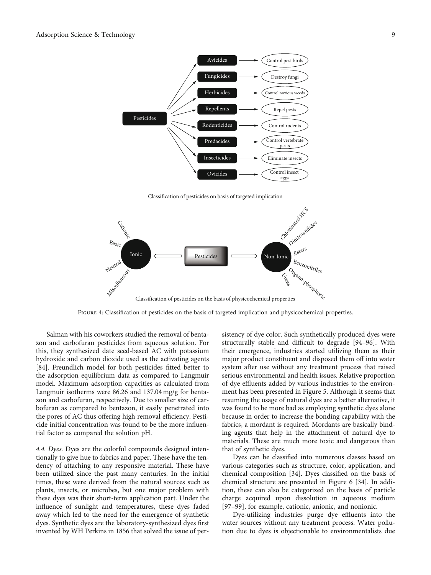<span id="page-10-0"></span>

Classification of pesticides on basis of targeted implication



FIGURE 4: Classification of pesticides on the basis of targeted implication and physicochemical properties.

Salman with his coworkers studied the removal of bentazon and carbofuran pesticides from aqueous solution. For this, they synthesized date seed-based AC with potassium hydroxide and carbon dioxide used as the activating agents [\[84](#page-19-0)]. Freundlich model for both pesticides fitted better to the adsorption equilibrium data as compared to Langmuir model. Maximum adsorption capacities as calculated from Langmuir isotherms were 86.26 and 137.04 mg/g for bentazon and carbofuran, respectively. Due to smaller size of carbofuran as compared to bentazon, it easily penetrated into the pores of AC thus offering high removal efficiency. Pesticide initial concentration was found to be the more influential factor as compared the solution pH.

4.4. Dyes. Dyes are the colorful compounds designed intentionally to give hue to fabrics and paper. These have the tendency of attaching to any responsive material. These have been utilized since the past many centuries. In the initial times, these were derived from the natural sources such as plants, insects, or microbes, but one major problem with these dyes was their short-term application part. Under the influence of sunlight and temperatures, these dyes faded away which led to the need for the emergence of synthetic dyes. Synthetic dyes are the laboratory-synthesized dyes first invented by WH Perkins in 1856 that solved the issue of per-

sistency of dye color. Such synthetically produced dyes were structurally stable and difficult to degrade [[94](#page-20-0)–[96\]](#page-20-0). With their emergence, industries started utilizing them as their major product constituent and disposed them off into water system after use without any treatment process that raised serious environmental and health issues. Relative proportion of dye effluents added by various industries to the environment has been presented in Figure [5](#page-12-0). Although it seems that resuming the usage of natural dyes are a better alternative, it was found to be more bad as employing synthetic dyes alone because in order to increase the bonding capability with the fabrics, a mordant is required. Mordants are basically binding agents that help in the attachment of natural dye to materials. These are much more toxic and dangerous than that of synthetic dyes.

Dyes can be classified into numerous classes based on various categories such as structure, color, application, and chemical composition [[34](#page-18-0)]. Dyes classified on the basis of chemical structure are presented in Figure [6](#page-13-0) [[34](#page-18-0)]. In addition, these can also be categorized on the basis of particle charge acquired upon dissolution in aqueous medium [\[97](#page-20-0)–[99\]](#page-20-0), for example, cationic, anionic, and nonionic.

Dye-utilizing industries purge dye effluents into the water sources without any treatment process. Water pollution due to dyes is objectionable to environmentalists due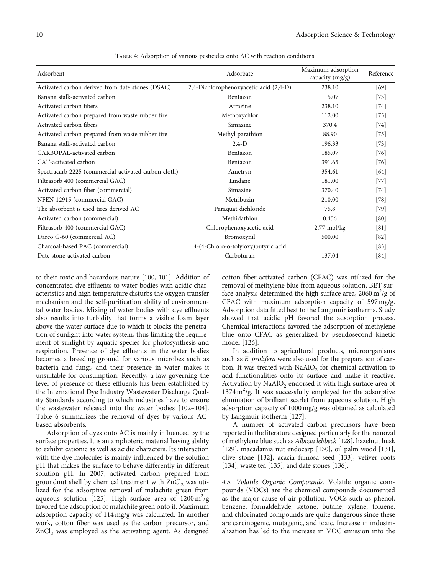<span id="page-11-0"></span>

| Adsorbent                                            | Adsorbate                              | Maximum adsorption<br>capacity $(mg/g)$ | Reference |
|------------------------------------------------------|----------------------------------------|-----------------------------------------|-----------|
| Activated carbon derived from date stones (DSAC)     | 2,4-Dichlorophenoxyacetic acid (2,4-D) | 238.10                                  | [69]      |
| Banana stalk-activated carbon                        | Bentazon                               | 115.07                                  | $[73]$    |
| Activated carbon fibers                              | Atrazine                               | 238.10                                  | $[74]$    |
| Activated carbon prepared from waste rubber tire     | Methoxychlor                           | 112.00                                  | $[75]$    |
| Activated carbon fibers                              | Simazine                               | 370.4                                   | $[74]$    |
| Activated carbon prepared from waste rubber tire     | Methyl parathion                       | 88.90                                   | $[75]$    |
| Banana stalk-activated carbon                        | $2,4-D$                                | 196.33                                  | $[73]$    |
| CARBOPAL-activated carbon                            | Bentazon                               | 185.07                                  | $[76]$    |
| CAT-activated carbon                                 | Bentazon                               | 391.65                                  | $[76]$    |
| Spectracarb 2225 (commercial-activated carbon cloth) | Ametryn                                | 354.61                                  | $[64]$    |
| Filtrasorb 400 (commercial GAC)                      | Lindane                                | 181.00                                  | $[77]$    |
| Activated carbon fiber (commercial)                  | Simazine                               | 370.40                                  | $[74]$    |
| NFEN 12915 (commercial GAC)                          | Metribuzin                             | 210.00                                  | $[78]$    |
| The absorbent is used tires derived AC               | Paraquat dichloride                    | 75.8                                    | $[79]$    |
| Activated carbon (commercial)                        | Methidathion                           | 0.456                                   | [80]      |
| Filtrasorb 400 (commercial GAC)                      | Chlorophenoxyacetic acid               | $2.77$ mol/kg                           | [81]      |
| Darco G-60 (commercial AC)                           | Bromoxynil                             | 500.00                                  | [82]      |
| Charcoal-based PAC (commercial)                      | 4-(4-Chloro-o-tolyloxy)butyric acid    |                                         | [83]      |
| Date stone-activated carbon                          | Carbofuran                             | 137.04                                  | [84]      |

Table 4: Adsorption of various pesticides onto AC with reaction conditions.

to their toxic and hazardous nature [[100](#page-20-0), [101](#page-20-0)]. Addition of concentrated dye effluents to water bodies with acidic characteristics and high temperature disturbs the oxygen transfer mechanism and the self-purification ability of environmental water bodies. Mixing of water bodies with dye effluents also results into turbidity that forms a visible foam layer above the water surface due to which it blocks the penetration of sunlight into water system, thus limiting the requirement of sunlight by aquatic species for photosynthesis and respiration. Presence of dye effluents in the water bodies becomes a breeding ground for various microbes such as bacteria and fungi, and their presence in water makes it unsuitable for consumption. Recently, a law governing the level of presence of these effluents has been established by the International Dye Industry Wastewater Discharge Quality Standards according to which industries have to ensure the wastewater released into the water bodies [\[102](#page-20-0)–[104](#page-20-0)]. Table [6](#page-14-0) summarizes the removal of dyes by various ACbased absorbents.

Adsorption of dyes onto AC is mainly influenced by the surface properties. It is an amphoteric material having ability to exhibit cationic as well as acidic characters. Its interaction with the dye molecules is mainly influenced by the solution pH that makes the surface to behave differently in different solution pH. In 2007, activated carbon prepared from groundnut shell by chemical treatment with  $ZnCl<sub>2</sub>$  was utilized for the adsorptive removal of malachite green from aqueous solution [[125](#page-21-0)]. High surface area of  $1200 \text{ m}^2/\text{g}$ favored the adsorption of malachite green onto it. Maximum adsorption capacity of 114 mg/g was calculated. In another work, cotton fiber was used as the carbon precursor, and  $ZnCl<sub>2</sub>$  was employed as the activating agent. As designed

cotton fiber-activated carbon (CFAC) was utilized for the removal of methylene blue from aqueous solution, BET surface analysis determined the high surface area, 2060  $m^2$ /g of CFAC with maximum adsorption capacity of 597 mg/g. Adsorption data fitted best to the Langmuir isotherms. Study showed that acidic pH favored the adsorption process. Chemical interactions favored the adsorption of methylene blue onto CFAC as generalized by pseudosecond kinetic model [\[126\]](#page-21-0).

In addition to agricultural products, microorganisms such as E. prolifera were also used for the preparation of carbon. It was treated with  $NaAlO<sub>2</sub>$  for chemical activation to add functionalities onto its surface and make it reactive. Activation by  $\text{NaAlO}_2$  endorsed it with high surface area of 1374 m<sup>2</sup>/g. It was successfully employed for the adsorptive elimination of brilliant scarlet from aqueous solution. High adsorption capacity of 1000 mg/g was obtained as calculated by Langmuir isotherm [[127](#page-21-0)].

A number of activated carbon precursors have been reported in the literature designed particularly for the removal of methylene blue such as Albizia lebbeck [[128\]](#page-21-0), hazelnut husk [\[129](#page-21-0)], macadamia nut endocarp [\[130](#page-21-0)], oil palm wood [\[131](#page-21-0)], olive stone [[132\]](#page-21-0), acacia fumosa seed [\[133](#page-21-0)], vetiver roots [\[134](#page-21-0)], waste tea [\[135](#page-21-0)], and date stones [[136\]](#page-21-0).

4.5. Volatile Organic Compounds. Volatile organic compounds (VOCs) are the chemical compounds documented as the major cause of air pollution. VOCs such as phenol, benzene, formaldehyde, ketone, butane, xylene, toluene, and chlorinated compounds are quite dangerous since these are carcinogenic, mutagenic, and toxic. Increase in industrialization has led to the increase in VOC emission into the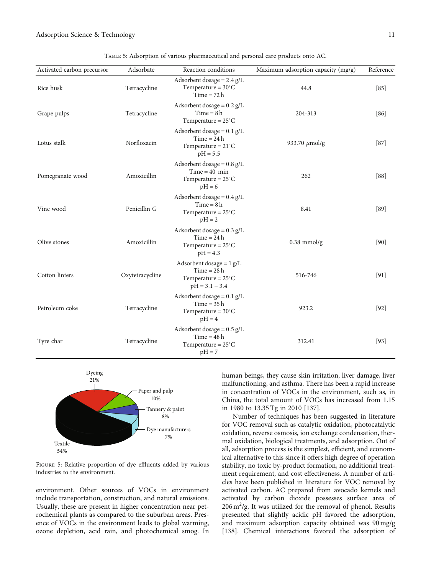<span id="page-12-0"></span>Adsorption Science & Technology 11 (1996) 12:38:49 (1997) 12:38:49 (1997) 12:49 (1998) 12:49 (1998) 12:49 (1998) 12:49

| Activated carbon precursor | Adsorbate       | Reaction conditions                                                                             | Maximum adsorption capacity (mg/g) | Reference |
|----------------------------|-----------------|-------------------------------------------------------------------------------------------------|------------------------------------|-----------|
| Rice husk                  | Tetracycline    | Adsorbent dosage = $2.4$ g/L<br>Temperature = $30^{\circ}$ C<br>$Time = 72 h$                   | 44.8                               | [85]      |
| Grape pulps                | Tetracycline    | Adsorbent dosage = $0.2$ g/L<br>$Time = 8 h$<br>Temperature = $25^{\circ}$ C                    | 204-313                            | $[86]$    |
| Lotus stalk                | Norfloxacin     | Adsorbent dosage = $0.1$ g/L<br>$Time = 24h$<br>Temperature = $21^{\circ}$ C<br>$pH = 5.5$      | 933.70 $\mu$ mol/g                 | $[87]$    |
| Pomegranate wood           | Amoxicillin     | Adsorbent dosage = $0.8$ g/L<br>$Time = 40$ min<br>Temperature = $25^{\circ}$ C<br>$pH = 6$     | 262                                | $[88]$    |
| Vine wood                  | Penicillin G    | Adsorbent dosage = $0.4$ g/L<br>$Time = 8 h$<br>Temperature = $25^{\circ}$ C<br>$pH = 2$        | 8.41                               | $[89]$    |
| Olive stones               | Amoxicillin     | Adsorbent dosage = $0.3$ g/L<br>$Time = 24h$<br>Temperature = $25^{\circ}$ C<br>$pH = 4.3$      | $0.38$ mmol/g                      | [90]      |
| Cotton linters             | Oxytetracycline | Adsorbent dosage = $1 g/L$<br>$Time = 28 h$<br>Temperature = $25^{\circ}$ C<br>$pH = 3.1 - 3.4$ | 516-746                            | $[91]$    |
| Petroleum coke             | Tetracycline    | Adsorbent dosage = $0.1$ g/L<br>$Time = 35 h$<br>Temperature = $30^{\circ}$ C<br>$pH = 4$       | 923.2                              | $[92]$    |
| Tyre char                  | Tetracycline    | Adsorbent dosage = $0.5$ g/L<br>$Time = 48 h$<br>Temperature = $25^{\circ}$ C<br>$pH = 7$       | 312.41                             | $[93]$    |

Table 5: Adsorption of various pharmaceutical and personal care products onto AC.



Figure 5: Relative proportion of dye effluents added by various industries to the environment.

environment. Other sources of VOCs in environment include transportation, construction, and natural emissions. Usually, these are present in higher concentration near petrochemical plants as compared to the suburban areas. Presence of VOCs in the environment leads to global warming, ozone depletion, acid rain, and photochemical smog. In

human beings, they cause skin irritation, liver damage, liver malfunctioning, and asthma. There has been a rapid increase in concentration of VOCs in the environment, such as, in China, the total amount of VOCs has increased from 1.15 in 1980 to 13.35 Tg in 2010 [[137\]](#page-21-0).

Number of techniques has been suggested in literature for VOC removal such as catalytic oxidation, photocatalytic oxidation, reverse osmosis, ion exchange condensation, thermal oxidation, biological treatments, and adsorption. Out of all, adsorption process is the simplest, efficient, and economical alternative to this since it offers high degree of operation stability, no toxic by-product formation, no additional treatment requirement, and cost effectiveness. A number of articles have been published in literature for VOC removal by activated carbon. AC prepared from avocado kernels and activated by carbon dioxide possesses surface area of  $206 \text{ m}^2/\text{g}$ . It was utilized for the removal of phenol. Results presented that slightly acidic pH favored the adsorption, and maximum adsorption capacity obtained was 90 mg/g [\[138\]](#page-21-0). Chemical interactions favored the adsorption of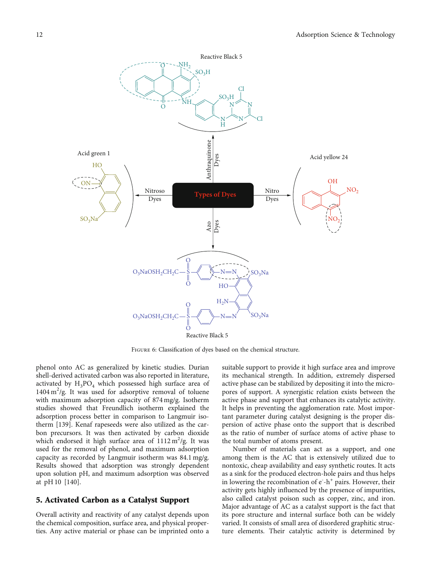<span id="page-13-0"></span>

Figure 6: Classification of dyes based on the chemical structure.

phenol onto AC as generalized by kinetic studies. Durian shell-derived activated carbon was also reported in literature, activated by  $H_3PO_4$  which possessed high surface area of 1404 m<sup>2</sup>/g. It was used for adsorptive removal of toluene with maximum adsorption capacity of 874 mg/g. Isotherm studies showed that Freundlich isotherm explained the adsorption process better in comparison to Langmuir isotherm [\[139\]](#page-21-0). Kenaf rapeseeds were also utilized as the carbon precursors. It was then activated by carbon dioxide which endorsed it high surface area of  $1112 \text{ m}^2/\text{g}$ . It was used for the removal of phenol, and maximum adsorption capacity as recorded by Langmuir isotherm was 84.1 mg/g. Results showed that adsorption was strongly dependent upon solution pH, and maximum adsorption was observed at pH 10 [[140](#page-21-0)].

#### 5. Activated Carbon as a Catalyst Support

Overall activity and reactivity of any catalyst depends upon the chemical composition, surface area, and physical properties. Any active material or phase can be imprinted onto a

suitable support to provide it high surface area and improve its mechanical strength. In addition, extremely dispersed active phase can be stabilized by depositing it into the micropores of support. A synergistic relation exists between the active phase and support that enhances its catalytic activity. It helps in preventing the agglomeration rate. Most important parameter during catalyst designing is the proper dispersion of active phase onto the support that is described as the ratio of number of surface atoms of active phase to the total number of atoms present.

Number of materials can act as a support, and one among them is the AC that is extensively utilized due to nontoxic, cheap availability and easy synthetic routes. It acts as a sink for the produced electron-hole pairs and thus helps in lowering the recombination of  $e^{-}h^{+}$  pairs. However, their activity gets highly influenced by the presence of impurities, also called catalyst poison such as copper, zinc, and iron. Major advantage of AC as a catalyst support is the fact that its pore structure and internal surface both can be widely varied. It consists of small area of disordered graphitic structure elements. Their catalytic activity is determined by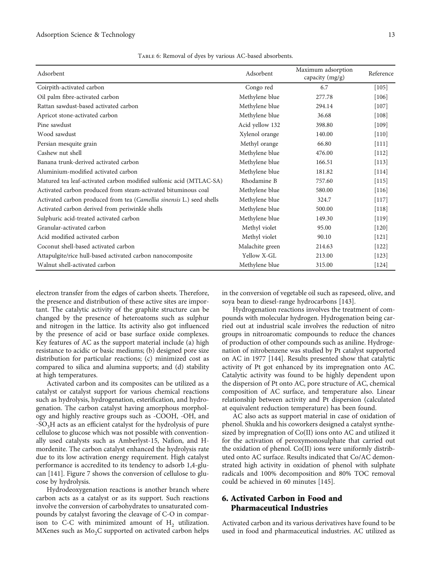|  | TABLE 6: Removal of dyes by various AC-based absorbents. |
|--|----------------------------------------------------------|
|  |                                                          |

<span id="page-14-0"></span>

| Adsorbent                                                             | Adsorbent       | Maximum adsorption<br>capacity (mg/g) | Reference |
|-----------------------------------------------------------------------|-----------------|---------------------------------------|-----------|
| Coirpith-activated carbon                                             | Congo red       | 6.7                                   | $[105]$   |
| Oil palm fibre-activated carbon                                       | Methylene blue  | 277.78                                | $[106]$   |
| Rattan sawdust-based activated carbon                                 | Methylene blue  | 294.14                                | $[107]$   |
| Apricot stone-activated carbon                                        | Methylene blue  | 36.68                                 | $[108]$   |
| Pine sawdust                                                          | Acid yellow 132 | 398.80                                | $[109]$   |
| Wood sawdust                                                          | Xylenol orange  | 140.00                                | $[110]$   |
| Persian mesquite grain                                                | Methyl orange   | 66.80                                 | $[111]$   |
| Cashew nut shell                                                      | Methylene blue  | 476.00                                | $[112]$   |
| Banana trunk-derived activated carbon                                 | Methylene blue  | 166.51                                | $[113]$   |
| Aluminium-modified activated carbon                                   | Methylene blue  | 181.82                                | $[114]$   |
| Matured tea leaf-activated carbon modified sulfonic acid (MTLAC-SA)   | Rhodamine B     | 757.60                                | $[115]$   |
| Activated carbon produced from steam-activated bituminous coal        | Methylene blue  | 580.00                                | $[116]$   |
| Activated carbon produced from tea (Camellia sinensis L.) seed shells | Methylene blue  | 324.7                                 | $[117]$   |
| Activated carbon derived from periwinkle shells                       | Methylene blue  | 500.00                                | [118]     |
| Sulphuric acid-treated activated carbon                               | Methylene blue  | 149.30                                | $[119]$   |
| Granular-activated carbon                                             | Methyl violet   | 95.00                                 | $[120]$   |
| Acid modified activated carbon                                        | Methyl violet   | 90.10                                 | $[121]$   |
| Coconut shell-based activated carbon                                  | Malachite green | 214.63                                | $[122]$   |
| Attapulgite/rice hull-based activated carbon nanocomposite            | Yellow X-GL     | 213.00                                | $[123]$   |
| Walnut shell-activated carbon                                         | Methylene blue  | 315.00                                | $[124]$   |

electron transfer from the edges of carbon sheets. Therefore, the presence and distribution of these active sites are important. The catalytic activity of the graphite structure can be changed by the presence of heteroatoms such as sulphur and nitrogen in the lattice. Its activity also got influenced by the presence of acid or base surface oxide complexes. Key features of AC as the support material include (a) high resistance to acidic or basic mediums; (b) designed pore size distribution for particular reactions; (c) minimized cost as compared to silica and alumina supports; and (d) stability at high temperatures.

Activated carbon and its composites can be utilized as a catalyst or catalyst support for various chemical reactions such as hydrolysis, hydrogenation, esterification, and hydrogenation. The carbon catalyst having amorphous morphology and highly reactive groups such as -COOH, -OH, and -SO<sub>3</sub>H acts as an efficient catalyst for the hydrolysis of pure cellulose to glucose which was not possible with conventionally used catalysts such as Amberlyst-15, Nafion, and Hmordenite. The carbon catalyst enhanced the hydrolysis rate due to its low activation energy requirement. High catalyst performance is accredited to its tendency to adsorb 1,4-glucan [\[141\]](#page-21-0). Figure [7](#page-15-0) shows the conversion of cellulose to glucose by hydrolysis.

Hydrodeoxygenation reactions is another branch where carbon acts as a catalyst or as its support. Such reactions involve the conversion of carbohydrates to unsaturated compounds by catalyst favoring the cleavage of C-O in comparison to C-C with minimized amount of  $H<sub>2</sub>$  utilization. MXenes such as  $Mo<sub>2</sub>C$  supported on activated carbon helps

in the conversion of vegetable oil such as rapeseed, olive, and soya bean to diesel-range hydrocarbons [\[143\]](#page-22-0).

Hydrogenation reactions involves the treatment of compounds with molecular hydrogen. Hydrogenation being carried out at industrial scale involves the reduction of nitro groups in nitroaromatic compounds to reduce the chances of production of other compounds such as aniline. Hydrogenation of nitrobenzene was studied by Pt catalyst supported on AC in 1977 [[144](#page-22-0)]. Results presented show that catalytic activity of Pt got enhanced by its impregnation onto AC. Catalytic activity was found to be highly dependent upon the dispersion of Pt onto AC, pore structure of AC, chemical composition of AC surface, and temperature also. Linear relationship between activity and Pt dispersion (calculated at equivalent reduction temperature) has been found.

AC also acts as support material in case of oxidation of phenol. Shukla and his coworkers designed a catalyst synthesized by impregnation of Co(II) ions onto AC and utilized it for the activation of peroxymonosulphate that carried out the oxidation of phenol. Co(II) ions were uniformly distributed onto AC surface. Results indicated that Co/AC demonstrated high activity in oxidation of phenol with sulphate radicals and 100% decomposition and 80% TOC removal could be achieved in 60 minutes [\[145\]](#page-22-0).

# 6. Activated Carbon in Food and Pharmaceutical Industries

Activated carbon and its various derivatives have found to be used in food and pharmaceutical industries. AC utilized as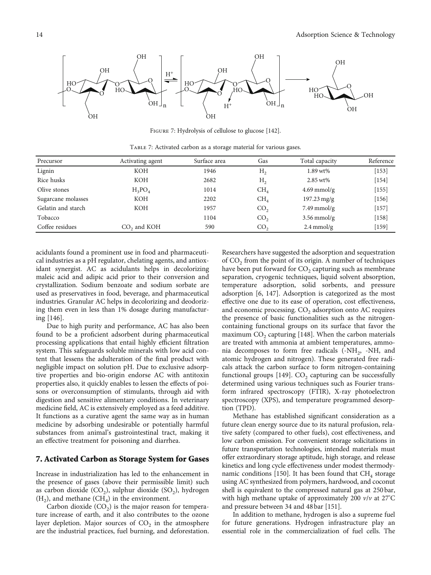<span id="page-15-0"></span>

Figure 7: Hydrolysis of cellulose to glucose [\[142](#page-22-0)].

| Precursor          | Activating agent        | Surface area | Gas             | Total capacity           | Reference |
|--------------------|-------------------------|--------------|-----------------|--------------------------|-----------|
| Lignin             | <b>KOH</b>              | 1946         | H <sub>2</sub>  | 1.89 wt%                 | $[153]$   |
| Rice husks         | <b>KOH</b>              | 2682         | H <sub>2</sub>  | $2.85 \text{ wt\%}$      | $[154]$   |
| Olive stones       | $H_3PO_4$               | 1014         | CH <sub>4</sub> | $4.69$ mmol/g            | $[155]$   |
| Sugarcane molasses | <b>KOH</b>              | 2202         | CH <sub>4</sub> | $197.23 \,\mathrm{mg/g}$ | $[156]$   |
| Gelatin and starch | <b>KOH</b>              | 1957         | CO <sub>2</sub> | $7.49$ mmol/g            | $[157]$   |
| Tobacco            |                         | 1104         | CO <sub>2</sub> | $3.56$ mmol/g            | $[158]$   |
| Coffee residues    | CO <sub>2</sub> and KOH | 590          | CO <sub>2</sub> | $2.4$ mmol/g             | [159]     |

Table 7: Activated carbon as a storage material for various gases.

acidulants found a prominent use in food and pharmaceutical industries as a pH regulator, chelating agents, and antioxidant synergist. AC as acidulants helps in decolorizing maleic acid and adipic acid prior to their conversion and crystallization. Sodium benzoate and sodium sorbate are used as preservatives in food, beverage, and pharmaceutical industries. Granular AC helps in decolorizing and deodorizing them even in less than 1% dosage during manufacturing [\[146](#page-22-0)].

Due to high purity and performance, AC has also been found to be a proficient adsorbent during pharmaceutical processing applications that entail highly efficient filtration system. This safeguards soluble minerals with low acid content that lessens the adulteration of the final product with negligible impact on solution pH. Due to exclusive adsorptive properties and bio-origin endorse AC with antitoxin properties also, it quickly enables to lessen the effects of poisons or overconsumption of stimulants, through aid with digestion and sensitive alimentary conditions. In veterinary medicine field, AC is extensively employed as a feed additive. It functions as a curative agent the same way as in human medicine by adsorbing undesirable or potentially harmful substances from animal's gastrointestinal tract, making it an effective treatment for poisoning and diarrhea.

#### 7. Activated Carbon as Storage System for Gases

Increase in industrialization has led to the enhancement in the presence of gases (above their permissible limit) such as carbon dioxide  $(CO_2)$ , sulphur dioxide  $(SO_2)$ , hydrogen  $(H_2)$ , and methane  $(CH_4)$  in the environment.

Carbon dioxide  $(CO<sub>2</sub>)$  is the major reason for temperature increase of earth, and it also contributes to the ozone layer depletion. Major sources of  $CO<sub>2</sub>$  in the atmosphere are the industrial practices, fuel burning, and deforestation.

Researchers have suggested the adsorption and sequestration of  $CO<sub>2</sub>$  from the point of its origin. A number of techniques have been put forward for  $CO<sub>2</sub>$  capturing such as membrane separation, cryogenic techniques, liquid solvent absorption, temperature adsorption, solid sorbents, and pressure adsorption [\[6](#page-17-0), [147](#page-22-0)]. Adsorption is categorized as the most effective one due to its ease of operation, cost effectiveness, and economic processing. CO<sub>2</sub> adsorption onto AC requires the presence of basic functionalities such as the nitrogencontaining functional groups on its surface that favor the maximum  $CO<sub>2</sub>$  capturing [[148](#page-22-0)]. When the carbon materials are treated with ammonia at ambient temperatures, ammonia decomposes to form free radicals  $(-NH_2, -NH_2, -NH_3)$ atomic hydrogen and nitrogen). These generated free radicals attack the carbon surface to form nitrogen-containing functional groups [\[149\]](#page-22-0).  $CO<sub>2</sub>$  capturing can be successfully determined using various techniques such as Fourier transform infrared spectroscopy (FTIR), X-ray photoelectron spectroscopy (XPS), and temperature programmed desorption (TPD).

Methane has established significant consideration as a future clean energy source due to its natural profusion, relative safety (compared to other fuels), cost effectiveness, and low carbon emission. For convenient storage solicitations in future transportation technologies, intended materials must offer extraordinary storage aptitude, high storage, and release kinetics and long cycle effectiveness under modest thermody-namic conditions [[150\]](#page-22-0). It has been found that  $CH<sub>4</sub>$  storage using AC synthesized from polymers, hardwood, and coconut shell is equivalent to the compressed natural gas at 250 bar, with high methane uptake of approximately 200 *v*/*v* at 27° C and pressure between 34 and 48 bar [[151](#page-22-0)].

In addition to methane, hydrogen is also a supreme fuel for future generations. Hydrogen infrastructure play an essential role in the commercialization of fuel cells. The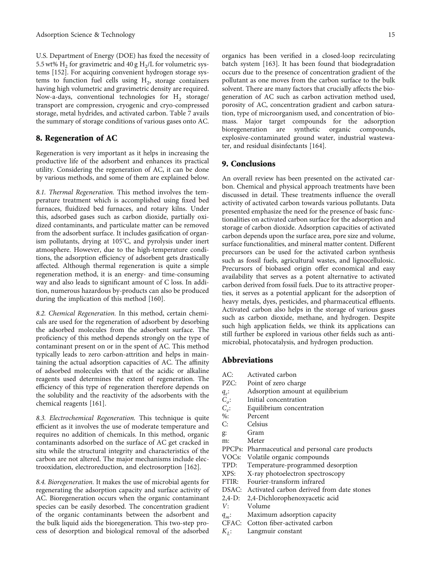U.S. Department of Energy (DOE) has fixed the necessity of 5.5 wt%  $H_2$  for gravimetric and 40 g  $H_2/L$  for volumetric systems [\[152\]](#page-22-0). For acquiring convenient hydrogen storage systems to function fuel cells using  $H_2$ , storage containers having high volumetric and gravimetric density are required. Now-a-days, conventional technologies for  $H<sub>2</sub>$  storage/ transport are compression, cryogenic and cryo-compressed storage, metal hydrides, and activated carbon. Table [7](#page-15-0) avails the summary of storage conditions of various gases onto AC.

## 8. Regeneration of AC

Regeneration is very important as it helps in increasing the productive life of the adsorbent and enhances its practical utility. Considering the regeneration of AC, it can be done by various methods, and some of them are explained below.

8.1. Thermal Regeneration. This method involves the temperature treatment which is accomplished using fixed bed furnaces, fluidized bed furnaces, and rotary kilns. Under this, adsorbed gases such as carbon dioxide, partially oxidized contaminants, and particulate matter can be removed from the adsorbent surface. It includes gasification of organism pollutants, drying at 105° C, and pyrolysis under inert atmosphere. However, due to the high-temperature conditions, the adsorption efficiency of adsorbent gets drastically affected. Although thermal regeneration is quite a simple regeneration method, it is an energy- and time-consuming way and also leads to significant amount of C loss. In addition, numerous hazardous by-products can also be produced during the implication of this method [[160](#page-22-0)].

8.2. Chemical Regeneration. In this method, certain chemicals are used for the regeneration of adsorbent by desorbing the adsorbed molecules from the adsorbent surface. The proficiency of this method depends strongly on the type of contaminant present on or in the spent of AC. This method typically leads to zero carbon-attrition and helps in maintaining the actual adsorption capacities of AC. The affinity of adsorbed molecules with that of the acidic or alkaline reagents used determines the extent of regeneration. The efficiency of this type of regeneration therefore depends on the solubility and the reactivity of the adsorbents with the chemical reagents [[161](#page-22-0)].

8.3. Electrochemical Regeneration. This technique is quite efficient as it involves the use of moderate temperature and requires no addition of chemicals. In this method, organic contaminants adsorbed on the surface of AC get cracked in situ while the structural integrity and characteristics of the carbon are not altered. The major mechanisms include electrooxidation, electroreduction, and electrosorption [[162](#page-22-0)].

8.4. Bioregeneration. It makes the use of microbial agents for regenerating the adsorption capacity and surface activity of AC. Bioregeneration occurs when the organic contaminant species can be easily desorbed. The concentration gradient of the organic contaminants between the adsorbent and the bulk liquid aids the bioregeneration. This two-step process of desorption and biological removal of the adsorbed organics has been verified in a closed-loop recirculating batch system [\[163](#page-22-0)]. It has been found that biodegradation occurs due to the presence of concentration gradient of the pollutant as one moves from the carbon surface to the bulk solvent. There are many factors that crucially affects the biogeneration of AC such as carbon activation method used, porosity of AC, concentration gradient and carbon saturation, type of microorganism used, and concentration of biomass. Major target compounds for the adsorption bioregeneration are synthetic organic compounds, explosive-contaminated ground water, industrial wastewater, and residual disinfectants [\[164](#page-22-0)].

#### 9. Conclusions

An overall review has been presented on the activated carbon. Chemical and physical approach treatments have been discussed in detail. These treatments influence the overall activity of activated carbon towards various pollutants. Data presented emphasize the need for the presence of basic functionalities on activated carbon surface for the adsorption and storage of carbon dioxide. Adsorption capacities of activated carbon depends upon the surface area, pore size and volume, surface functionalities, and mineral matter content. Different precursors can be used for the activated carbon synthesis such as fossil fuels, agricultural wastes, and lignocellulosic. Precursors of biobased origin offer economical and easy availability that serves as a potent alternative to activated carbon derived from fossil fuels. Due to its attractive properties, it serves as a potential applicant for the adsorption of heavy metals, dyes, pesticides, and pharmaceutical effluents. Activated carbon also helps in the storage of various gases such as carbon dioxide, methane, and hydrogen. Despite such high application fields, we think its applications can still further be explored in various other fields such as antimicrobial, photocatalysis, and hydrogen production.

#### Abbreviations

- AC: Activated carbon
- PZC: Point of zero charge
- *qe*: Adsorption amount at equilibrium
- *C<sub>o</sub>*: Initial concentration
- *Ce*: Equilibrium concentration
- %: Percent<br>C: Celsius
- Celsius
- g: Gram
- m: Meter
- PPCPs: Pharmaceutical and personal care products
- VOCs: Volatile organic compounds
- TPD: Temperature-programmed desorption
- XPS: X-ray photoelectron spectroscopy
- FTIR: Fourier-transform infrared
- DSAC: Activated carbon derived from date stones
- 2,4-D: 2,4-Dichlorophenoxyacetic acid
- *V*: Volume
- *qm*: Maximum adsorption capacity
- CFAC: Cotton fiber-activated carbon
- *K<sub>1</sub>*: Langmuir constant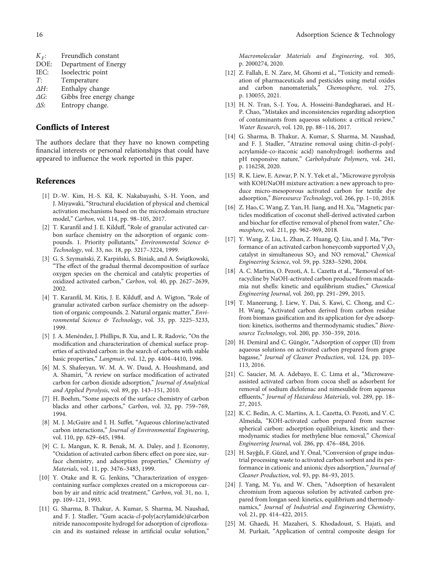- <span id="page-17-0"></span>*ΔG*: Gibbs free energy change
- *ΔS*: Entropy change.

### Conflicts of Interest

The authors declare that they have no known competing financial interests or personal relationships that could have appeared to influence the work reported in this paper.

## References

- [1] D.-W. Kim, H.-S. Kil, K. Nakabayashi, S.-H. Yoon, and J. Miyawaki, "Structural elucidation of physical and chemical activation mechanisms based on the microdomain structure model," Carbon, vol. 114, pp. 98–105, 2017.
- [2] T. Karanfil and J. E. Kilduff, "Role of granular activated carbon surface chemistry on the adsorption of organic compounds. 1. Priority pollutants," Environmental Science & Technology, vol. 33, no. 18, pp. 3217–3224, 1999.
- [3] G. S. Szymański, Z. Karpiński, S. Biniak, and A. Świa̧tkowski, "The effect of the gradual thermal decomposition of surface oxygen species on the chemical and catalytic properties of oxidized activated carbon," Carbon, vol. 40, pp. 2627–2639, 2002.
- [4] T. Karanfil, M. Kitis, J. E. Kilduff, and A. Wigton, "Role of granular activated carbon surface chemistry on the adsorption of organic compounds. 2. Natural organic matter," Environmental Science & Technology, vol. 33, pp. 3225–3233, 1999.
- [5] J. A. Menéndez, J. Phillips, B. Xia, and L. R. Radovic, "On the modification and characterization of chemical surface properties of activated carbon: in the search of carbons with stable basic properties," Langmuir, vol. 12, pp. 4404–4410, 1996.
- [6] M. S. Shafeeyan, W. M. A. W. Daud, A. Houshmand, and A. Shamiri, "A review on surface modification of activated carbon for carbon dioxide adsorption," Journal of Analytical and Applied Pyrolysis, vol. 89, pp. 143–151, 2010.
- [7] H. Boehm, "Some aspects of the surface chemistry of carbon blacks and other carbons," Carbon, vol. 32, pp. 759–769, 1994.
- [8] M. J. McGuire and I. H. Suffet, "Aqueous chlorine/activated carbon interactions," Journal of Environmental Engineering, vol. 110, pp. 629–645, 1984.
- [9] C. L. Mangun, K. R. Benak, M. A. Daley, and J. Economy, "Oxidation of activated carbon fibers: effect on pore size, surface chemistry, and adsorption properties," Chemistry of Materials, vol. 11, pp. 3476–3483, 1999.
- [10] Y. Otake and R. G. Jenkins, "Characterization of oxygencontaining surface complexes created on a microporous carbon by air and nitric acid treatment," Carbon, vol. 31, no. 1, pp. 109–121, 1993.
- [11] G. Sharma, B. Thakur, A. Kumar, S. Sharma, M. Naushad, and F. J. Stadler, "Gum acacia-cl-poly(acrylamide)@carbon nitride nanocomposite hydrogel for adsorption of ciprofloxacin and its sustained release in artificial ocular solution,"

Macromolecular Materials and Engineering, vol. 305, p. 2000274, 2020.

- [12] Z. Fallah, E. N. Zare, M. Ghomi et al., "Toxicity and remediation of pharmaceuticals and pesticides using metal oxides and carbon nanomaterials," Chemosphere, vol. 275, p. 130055, 2021.
- [13] H. N. Tran, S.-J. You, A. Hosseini-Bandegharaei, and H.- P. Chao, "Mistakes and inconsistencies regarding adsorption of contaminants from aqueous solutions: a critical review," Water Research, vol. 120, pp. 88–116, 2017.
- [14] G. Sharma, B. Thakur, A. Kumar, S. Sharma, M. Naushad, and F. J. Stadler, "Atrazine removal using chitin-cl-poly( acrylamide-co-itaconic acid) nanohydrogel: isotherms and pH responsive nature," Carbohydrate Polymers, vol. 241, p. 116258, 2020.
- [15] R. K. Liew, E. Azwar, P. N. Y. Yek et al., "Microwave pyrolysis with KOH/NaOH mixture activation: a new approach to produce micro-mesoporous activated carbon for textile dye adsorption," Bioresource Technology, vol. 266, pp. 1–10, 2018.
- [16] Z. Hao, C. Wang, Z. Yan, H. Jiang, and H. Xu, "Magnetic particles modification of coconut shell-derived activated carbon and biochar for effective removal of phenol from water," Chemosphere, vol. 211, pp. 962–969, 2018.
- [17] Y. Wang, Z. Liu, L. Zhan, Z. Huang, Q. Liu, and J. Ma, "Performance of an activated carbon honeycomb supported  $V_2O_5$ catalyst in simultaneous  $SO<sub>2</sub>$  and NO removal," Chemical Engineering Science, vol. 59, pp. 5283–5290, 2004.
- [18] A. C. Martins, O. Pezoti, A. L. Cazetta et al., "Removal of tetracycline by NaOH-activated carbon produced from macadamia nut shells: kinetic and equilibrium studies," Chemical Engineering Journal, vol. 260, pp. 291–299, 2015.
- [19] T. Maneerung, J. Liew, Y. Dai, S. Kawi, C. Chong, and C.- H. Wang, "Activated carbon derived from carbon residue from biomass gasification and its application for dye adsorption: kinetics, isotherms and thermodynamic studies," Bioresource Technology, vol. 200, pp. 350–359, 2016.
- [20] H. Demiral and C. Güngör, "Adsorption of copper (II) from aqueous solutions on activated carbon prepared from grape bagasse," Journal of Cleaner Production, vol. 124, pp. 103– 113, 2016.
- [21] C. Saucier, M. A. Adebayo, E. C. Lima et al., "Microwaveassisted activated carbon from cocoa shell as adsorbent for removal of sodium diclofenac and nimesulide from aqueous effluents," Journal of Hazardous Materials, vol. 289, pp. 18– 27, 2015.
- [22] K. C. Bedin, A. C. Martins, A. L. Cazetta, O. Pezoti, and V. C. Almeida, "KOH-activated carbon prepared from sucrose spherical carbon: adsorption equilibrium, kinetic and thermodynamic studies for methylene blue removal," Chemical Engineering Journal, vol. 286, pp. 476–484, 2016.
- [23] H. Sayğılı, F. Güzel, and Y. Önal, "Conversion of grape industrial processing waste to activated carbon sorbent and its performance in cationic and anionic dyes adsorption," Journal of Cleaner Production, vol. 93, pp. 84–93, 2015.
- [24] J. Yang, M. Yu, and W. Chen, "Adsorption of hexavalent chromium from aqueous solution by activated carbon prepared from longan seed: kinetics, equilibrium and thermodynamics," Journal of Industrial and Engineering Chemistry, vol. 21, pp. 414–422, 2015.
- [25] M. Ghaedi, H. Mazaheri, S. Khodadoust, S. Hajati, and M. Purkait, "Application of central composite design for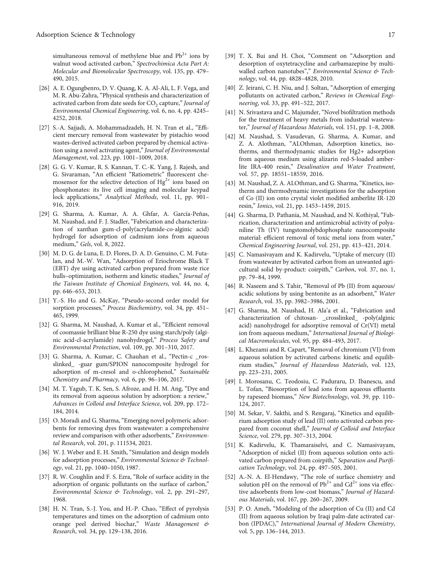<span id="page-18-0"></span>simultaneous removal of methylene blue and  $Pb^{2+}$  ions by walnut wood activated carbon," Spectrochimica Acta Part A: Molecular and Biomolecular Spectroscopy, vol. 135, pp. 479– 490, 2015.

- [26] A. E. Ogungbenro, D. V. Quang, K. A. Al-Ali, L. F. Vega, and M. R. Abu-Zahra, "Physical synthesis and characterization of activated carbon from date seeds for CO<sub>2</sub> capture," Journal of Environmental Chemical Engineering, vol. 6, no. 4, pp. 4245– 4252, 2018.
- [27] S.-A. Sajjadi, A. Mohammadzadeh, H. N. Tran et al., "Efficient mercury removal from wastewater by pistachio wood wastes-derived activated carbon prepared by chemical activation using a novel activating agent," Journal of Environmental Management, vol. 223, pp. 1001–1009, 2018.
- [28] G. G. V. Kumar, R. S. Kannan, T. C.-K. Yang, J. Rajesh, and G. Sivaraman, "An efficient "Ratiometric" fluorescent chemosensor for the selective detection of  $Hg^{2+}$  ions based on phosphonates: its live cell imaging and molecular keypad lock applications," Analytical Methods, vol. 11, pp. 901– 916, 2019.
- [29] G. Sharma, A. Kumar, A. A. Ghfar, A. García-Peñas, M. Naushad, and F. J. Stadler, "Fabrication and characterization of xanthan gum-cl-poly(acrylamide-co-alginic acid) hydrogel for adsorption of cadmium ions from aqueous medium," Gels, vol. 8, 2022.
- [30] M. D. G. de Luna, E. D. Flores, D. A. D. Genuino, C. M. Futalan, and M.-W. Wan, "Adsorption of Eriochrome Black T (EBT) dye using activated carbon prepared from waste rice hulls–optimization, isotherm and kinetic studies," Journal of the Taiwan Institute of Chemical Engineers, vol. 44, no. 4, pp. 646–653, 2013.
- [31] Y.-S. Ho and G. McKay, "Pseudo-second order model for sorption processes," Process Biochemistry, vol. 34, pp. 451– 465, 1999.
- [32] G. Sharma, M. Naushad, A. Kumar et al., "Efficient removal of coomassie brilliant blue R-250 dye using starch/poly (alginic acid-cl-acrylamide) nanohydrogel," Process Safety and Environmental Protection, vol. 109, pp. 301–310, 2017.
- [33] G. Sharma, A. Kumar, C. Chauhan et al., "Pectin-c \_rosslinked\_ -guar gum/SPION nanocomposite hydrogel for adsorption of m-cresol and o-chlorophenol," Sustainable Chemistry and Pharmacy, vol. 6, pp. 96–106, 2017.
- [34] M. T. Yagub, T. K. Sen, S. Afroze, and H. M. Ang, "Dye and its removal from aqueous solution by adsorption: a review," Advances in Colloid and Interface Science, vol. 209, pp. 172– 184, 2014.
- [35] O. Moradi and G. Sharma, "Emerging novel polymeric adsorbents for removing dyes from wastewater: a comprehensive review and comparison with other adsorbents," Environmental Research, vol. 201, p. 111534, 2021.
- [36] W. J. Weber and E. H. Smith, "Simulation and design models for adsorption processes," Environmental Science & Technology, vol. 21, pp. 1040–1050, 1987.
- [37] R. W. Coughlin and F. S. Ezra, "Role of surface acidity in the adsorption of organic pollutants on the surface of carbon," Environmental Science & Technology, vol. 2, pp. 291–297, 1968.
- [38] H. N. Tran, S.-J. You, and H.-P. Chao, "Effect of pyrolysis temperatures and times on the adsorption of cadmium onto orange peel derived biochar," Waste Management & Research, vol. 34, pp. 129–138, 2016.
- [39] T. X. Bui and H. Choi, "Comment on "Adsorption and desorption of oxytetracycline and carbamazepine by multiwalled carbon nanotubes"," Environmental Science & Technology, vol. 44, pp. 4828–4828, 2010.
- [40] Z. Jeirani, C. H. Niu, and J. Soltan, "Adsorption of emerging pollutants on activated carbon," Reviews in Chemical Engineering, vol. 33, pp. 491–522, 2017.
- [41] N. Srivastava and C. Majumder, "Novel biofiltration methods for the treatment of heavy metals from industrial wastewater," Journal of Hazardous Materials, vol. 151, pp. 1–8, 2008.
- [42] M. Naushad, S. Vasudevan, G. Sharma, A. Kumar, and Z. A. Alothman, "ALOthman, Adsorption kinetics, isotherms, and thermodynamic studies for Hg2+ adsorption from aqueous medium using alizarin red-S-loaded amberlite IRA-400 resin," Desalination and Water Treatment, vol. 57, pp. 18551–18559, 2016.
- [43] M. Naushad, Z. A. ALOthman, and G. Sharma, "Kinetics, isotherm and thermodynamic investigations for the adsorption of Co (II) ion onto crystal violet modified amberlite IR-120 resin," Ionics, vol. 21, pp. 1453–1459, 2015.
- [44] G. Sharma, D. Pathania, M. Naushad, and N. Kothiyal, "Fabrication, characterization and antimicrobial activity of polyaniline Th (IV) tungstomolybdophosphate nanocomposite material: efficient removal of toxic metal ions from water," Chemical Engineering Journal, vol. 251, pp. 413–421, 2014.
- [45] C. Namasivayam and K. Kadirvelu, "Uptake of mercury (II) from wastewater by activated carbon from an unwanted agricultural solid by-product: coirpith," Carbon, vol. 37, no. 1, pp. 79–84, 1999.
- [46] R. Naseem and S. Tahir, "Removal of Pb (II) from aqueous/ acidic solutions by using bentonite as an adsorbent," Water Research, vol. 35, pp. 3982–3986, 2001.
- [47] G. Sharma, M. Naushad, H. Ala'a et al., "Fabrication and characterization of chitosan- \_crosslinked\_ -poly(alginic acid) nanohydrogel for adsorptive removal of Cr(VI) metal ion from aqueous medium," International Journal of Biological Macromolecules, vol. 95, pp. 484–493, 2017.
- [48] L. Khezami and R. Capart, "Removal of chromium (VI) from aqueous solution by activated carbons: kinetic and equilibrium studies," Journal of Hazardous Materials, vol. 123, pp. 223–231, 2005.
- [49] I. Morosanu, C. Teodosiu, C. Paduraru, D. Ibanescu, and L. Tofan, "Biosorption of lead ions from aqueous effluents by rapeseed biomass," New Biotechnology, vol. 39, pp. 110– 124, 2017.
- [50] M. Sekar, V. Sakthi, and S. Rengaraj, "Kinetics and equilibrium adsorption study of lead (II) onto activated carbon prepared from coconut shell," Journal of Colloid and Interface Science, vol. 279, pp. 307–313, 2004.
- [51] K. Kadirvelu, K. Thamaraiselvi, and C. Namasivayam, "Adsorption of nickel (II) from aqueous solution onto activated carbon prepared from coirpith," Separation and Purification Technology, vol. 24, pp. 497–505, 2001.
- [52] A.-N. A. El-Hendawy, "The role of surface chemistry and solution pH on the removal of  $Pb^{2+}$  and  $Cd^{2+}$  ions via effective adsorbents from low-cost biomass," Journal of Hazardous Materials, vol. 167, pp. 260–267, 2009.
- [53] P. O. Ameh, "Modeling of the adsorption of Cu (II) and Cd (II) from aqueous solution by Iraqi palm-date activated carbon (IPDAC)," International Journal of Modern Chemistry, vol. 5, pp. 136–144, 2013.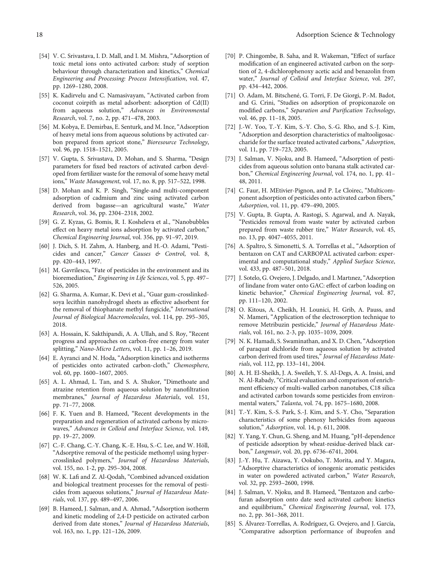- <span id="page-19-0"></span>[54] V. C. Srivastava, I. D. Mall, and I. M. Mishra, "Adsorption of toxic metal ions onto activated carbon: study of sorption behaviour through characterization and kinetics," Chemical Engineering and Processing: Process Intensification, vol. 47, pp. 1269–1280, 2008.
- [55] K. Kadirvelu and C. Namasivayam, "Activated carbon from coconut coirpith as metal adsorbent: adsorption of Cd(II) from aqueous solution," Advances in Environmental Research, vol. 7, no. 2, pp. 471–478, 2003.
- [56] M. Kobya, E. Demirbas, E. Senturk, and M. Ince, "Adsorption of heavy metal ions from aqueous solutions by activated carbon prepared from apricot stone," Bioresource Technology, vol. 96, pp. 1518–1521, 2005.
- [57] V. Gupta, S. Srivastava, D. Mohan, and S. Sharma, "Design parameters for fixed bed reactors of activated carbon developed from fertilizer waste for the removal of some heavy metal ions," Waste Management, vol. 17, no. 8, pp. 517–522, 1998.
- [58] D. Mohan and K. P. Singh, "Single-and multi-component adsorption of cadmium and zinc using activated carbon derived from bagasse—an agricultural waste," Water Research, vol. 36, pp. 2304–2318, 2002.
- [59] G. Z. Kyzas, G. Bomis, R. I. Kosheleva et al., "Nanobubbles effect on heavy metal ions adsorption by activated carbon," Chemical Engineering Journal, vol. 356, pp. 91–97, 2019.
- [60] J. Dich, S. H. Zahm, A. Hanberg, and H.-O. Adami, "Pesticides and cancer," Cancer Causes & Control, vol. 8, pp. 420–443, 1997.
- [61] M. Gavrilescu, "Fate of pesticides in the environment and its bioremediation," Engineering in Life Sciences, vol. 5, pp. 497– 526, 2005.
- [62] G. Sharma, A. Kumar, K. Devi et al., "Guar gum-crosslinkedsoya lecithin nanohydrogel sheets as effective adsorbent for the removal of thiophanate methyl fungicide," International Journal of Biological Macromolecules, vol. 114, pp. 295–305, 2018.
- [63] A. Hossain, K. Sakthipandi, A. A. Ullah, and S. Roy, "Recent progress and approaches on carbon-free energy from water splitting," Nano-Micro Letters, vol. 11, pp. 1–26, 2019.
- [64] E. Ayranci and N. Hoda, "Adsorption kinetics and isotherms of pesticides onto activated carbon-cloth," Chemosphere, vol. 60, pp. 1600–1607, 2005.
- [65] A. L. Ahmad, L. Tan, and S. A. Shukor, "Dimethoate and atrazine retention from aqueous solution by nanofiltration membranes," Journal of Hazardous Materials, vol. 151, pp. 71–77, 2008.
- [66] F. K. Yuen and B. Hameed, "Recent developments in the preparation and regeneration of activated carbons by microwaves," Advances in Colloid and Interface Science, vol. 149, pp. 19–27, 2009.
- [67] C.-F. Chang, C.-Y. Chang, K.-E. Hsu, S.-C. Lee, and W. Höll, "Adsorptive removal of the pesticide methomyl using hypercrosslinked polymers," Journal of Hazardous Materials, vol. 155, no. 1-2, pp. 295–304, 2008.
- [68] W. K. Lafi and Z. Al-Qodah, "Combined advanced oxidation and biological treatment processes for the removal of pesticides from aqueous solutions," Journal of Hazardous Materials, vol. 137, pp. 489–497, 2006.
- [69] B. Hameed, J. Salman, and A. Ahmad, "Adsorption isotherm and kinetic modeling of 2,4-D pesticide on activated carbon derived from date stones," Journal of Hazardous Materials, vol. 163, no. 1, pp. 121–126, 2009.
- [70] P. Chingombe, B. Saha, and R. Wakeman, "Effect of surface modification of an engineered activated carbon on the sorption of 2, 4-dichlorophenoxy acetic acid and benazolin from water," Journal of Colloid and Interface Science, vol. 297, pp. 434–442, 2006.
- [71] O. Adam, M. Bitschené, G. Torri, F. De Giorgi, P.-M. Badot, and G. Crini, "Studies on adsorption of propiconazole on modified carbons," Separation and Purification Technology, vol. 46, pp. 11–18, 2005.
- [72] J.-W. Yoo, T.-Y. Kim, S.-Y. Cho, S.-G. Rho, and S.-J. Kim, "Adsorption and desorption characteristics of maltooligosaccharide for the surface treated activated carbons," Adsorption, vol. 11, pp. 719–723, 2005.
- [73] J. Salman, V. Njoku, and B. Hameed, "Adsorption of pesticides from aqueous solution onto banana stalk activated carbon," Chemical Engineering Journal, vol. 174, no. 1, pp. 41– 48, 2011.
- [74] C. Faur, H. MEtivier-Pignon, and P. Le Cloirec, "Multicomponent adsorption of pesticides onto activated carbon fibers," Adsorption, vol. 11, pp. 479–490, 2005.
- [75] V. Gupta, B. Gupta, A. Rastogi, S. Agarwal, and A. Nayak, "Pesticides removal from waste water by activated carbon prepared from waste rubber tire," Water Research, vol. 45, no. 13, pp. 4047–4055, 2011.
- [76] A. Spaltro, S. Simonetti, S. A. Torrellas et al., "Adsorption of bentazon on CAT and CARBOPAL activated carbon: experimental and computational study," Applied Surface Science, vol. 433, pp. 487–501, 2018.
- [77] J. Sotelo, G. Ovejero, J. Delgado, and I. Martınez, "Adsorption of lindane from water onto GAC: effect of carbon loading on kinetic behavior," Chemical Engineering Journal, vol. 87, pp. 111–120, 2002.
- [78] O. Kitous, A. Cheikh, H. Lounici, H. Grib, A. Pauss, and N. Mameri, "Application of the electrosorption technique to remove Metribuzin pesticide," Journal of Hazardous Materials, vol. 161, no. 2-3, pp. 1035–1039, 2009.
- [79] N. K. Hamadi, S. Swaminathan, and X. D. Chen, "Adsorption of paraquat dichloride from aqueous solution by activated carbon derived from used tires," Journal of Hazardous Materials, vol. 112, pp. 133–141, 2004.
- [80] A. H. El-Sheikh, J. A. Sweileh, Y. S. Al-Degs, A. A. Insisi, and N. Al-Rabady,"Critical evaluation and comparison of enrichment efficiency of multi-walled carbon nanotubes, C18 silica and activated carbon towards some pesticides from environmental waters," Talanta, vol. 74, pp. 1675–1680, 2008.
- [81] T.-Y. Kim, S.-S. Park, S.-J. Kim, and S.-Y. Cho, "Separation characteristics of some phenoxy herbicides from aqueous solution," Adsorption, vol. 14, p. 611, 2008.
- [82] Y. Yang, Y. Chun, G. Sheng, and M. Huang, "pH-dependence of pesticide adsorption by wheat-residue-derived black carbon," Langmuir, vol. 20, pp. 6736–6741, 2004.
- [83] J.-Y. Hu, T. Aizawa, Y. Ookubo, T. Morita, and Y. Magara, "Adsorptive characteristics of ionogenic aromatic pesticides in water on powdered activated carbon," Water Research, vol. 32, pp. 2593–2600, 1998.
- [84] J. Salman, V. Njoku, and B. Hameed, "Bentazon and carbofuran adsorption onto date seed activated carbon: kinetics and equilibrium," Chemical Engineering Journal, vol. 173, no. 2, pp. 361–368, 2011.
- [85] S. Álvarez-Torrellas, A. Rodríguez, G. Ovejero, and J. García, "Comparative adsorption performance of ibuprofen and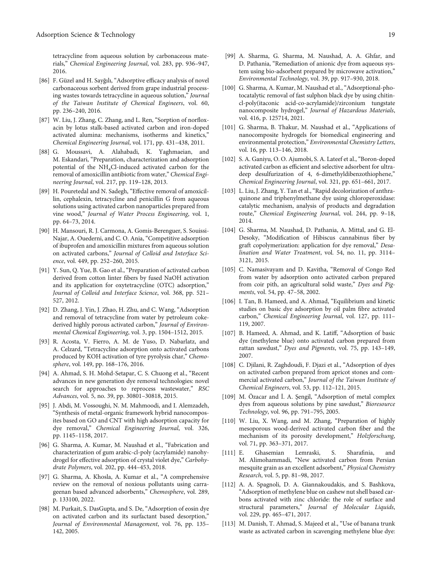<span id="page-20-0"></span>tetracycline from aqueous solution by carbonaceous materials," Chemical Engineering Journal, vol. 283, pp. 936–947, 2016.

- [86] F. Güzel and H. Sayğılı, "Adsorptive efficacy analysis of novel carbonaceous sorbent derived from grape industrial processing wastes towards tetracycline in aqueous solution," Journal of the Taiwan Institute of Chemical Engineers, vol. 60, pp. 236–240, 2016.
- [87] W. Liu, J. Zhang, C. Zhang, and L. Ren, "Sorption of norfloxacin by lotus stalk-based activated carbon and iron-doped activated alumina: mechanisms, isotherms and kinetics," Chemical Engineering Journal, vol. 171, pp. 431–438, 2011.
- [88] G. Moussavi, A. Alahabadi, K. Yaghmaeian, and M. Eskandari, "Preparation, characterization and adsorption potential of the NH4Cl-induced activated carbon for the removal of amoxicillin antibiotic from water," Chemical Engineering Journal, vol. 217, pp. 119–128, 2013.
- [89] H. Pouretedal and N. Sadegh, "Effective removal of amoxicillin, cephalexin, tetracycline and penicillin G from aqueous solutions using activated carbon nanoparticles prepared from vine wood," Journal of Water Process Engineering, vol. 1, pp. 64–73, 2014.
- [90] H. Mansouri, R. J. Carmona, A. Gomis-Berenguer, S. Souissi-Najar, A. Ouederni, and C. O. Ania, "Competitive adsorption of ibuprofen and amoxicillin mixtures from aqueous solution on activated carbons," Journal of Colloid and Interface Science, vol. 449, pp. 252–260, 2015.
- [91] Y. Sun, Q. Yue, B. Gao et al., "Preparation of activated carbon derived from cotton linter fibers by fused NaOH activation and its application for oxytetracycline (OTC) adsorption," Journal of Colloid and Interface Science, vol. 368, pp. 521– 527, 2012.
- [92] D. Zhang, J. Yin, J. Zhao, H. Zhu, and C. Wang, "Adsorption and removal of tetracycline from water by petroleum cokederived highly porous activated carbon," Journal of Environmental Chemical Engineering, vol. 3, pp. 1504–1512, 2015.
- [93] R. Acosta, V. Fierro, A. M. de Yuso, D. Nabarlatz, and A. Celzard, "Tetracycline adsorption onto activated carbons produced by KOH activation of tyre pyrolysis char," Chemosphere, vol. 149, pp. 168–176, 2016.
- [94] A. Ahmad, S. H. Mohd-Setapar, C. S. Chuong et al., "Recent advances in new generation dye removal technologies: novel search for approaches to reprocess wastewater," RSC Advances, vol. 5, no. 39, pp. 30801–30818, 2015.
- [95] J. Abdi, M. Vossoughi, N. M. Mahmoodi, and I. Alemzadeh, "Synthesis of metal-organic framework hybrid nanocomposites based on GO and CNT with high adsorption capacity for dye removal," Chemical Engineering Journal, vol. 326, pp. 1145–1158, 2017.
- [96] G. Sharma, A. Kumar, M. Naushad et al., "Fabrication and characterization of gum arabic-cl-poly (acrylamide) nanohydrogel for effective adsorption of crystal violet dye," Carbohydrate Polymers, vol. 202, pp. 444–453, 2018.
- [97] G. Sharma, A. Khosla, A. Kumar et al., "A comprehensive review on the removal of noxious pollutants using carrageenan based advanced adsorbents," Chemosphere, vol. 289, p. 133100, 2022.
- [98] M. Purkait, S. DasGupta, and S. De, "Adsorption of eosin dye on activated carbon and its surfactant based desorption," Journal of Environmental Management, vol. 76, pp. 135– 142, 2005.
- [99] A. Sharma, G. Sharma, M. Naushad, A. A. Ghfar, and D. Pathania, "Remediation of anionic dye from aqueous system using bio-adsorbent prepared by microwave activation," Environmental Technology, vol. 39, pp. 917–930, 2018.
- [100] G. Sharma, A. Kumar, M. Naushad et al., "Adsorptional-photocatalytic removal of fast sulphon black dye by using chitincl-poly(itaconic acid-co-acrylamide)/zirconium tungstate nanocomposite hydrogel," Journal of Hazardous Materials, vol. 416, p. 125714, 2021.
- [101] G. Sharma, B. Thakur, M. Naushad et al., "Applications of nanocomposite hydrogels for biomedical engineering and environmental protection," Environmental Chemistry Letters, vol. 16, pp. 113–146, 2018.
- [102] S. A. Ganiyu, O. O. Ajumobi, S. A. Lateef et al., "Boron-doped activated carbon as efficient and selective adsorbent for ultradeep desulfurization of 4, 6-dimethyldibenzothiophene," Chemical Engineering Journal, vol. 321, pp. 651–661, 2017.
- [103] L. Liu, J. Zhang, Y. Tan et al., "Rapid decolorization of anthraquinone and triphenylmethane dye using chloroperoxidase: catalytic mechanism, analysis of products and degradation route," Chemical Engineering Journal, vol. 244, pp. 9–18, 2014.
- [104] G. Sharma, M. Naushad, D. Pathania, A. Mittal, and G. El-Desoky, "Modification of Hibiscus cannabinus fiber by graft copolymerization: application for dye removal," Desalination and Water Treatment, vol. 54, no. 11, pp. 3114– 3121, 2015.
- [105] C. Namasivayam and D. Kavitha, "Removal of Congo Red from water by adsorption onto activated carbon prepared from coir pith, an agricultural solid waste," Dyes and Pigments, vol. 54, pp. 47–58, 2002.
- [106] I. Tan, B. Hameed, and A. Ahmad, "Equilibrium and kinetic studies on basic dye adsorption by oil palm fibre activated carbon," Chemical Engineering Journal, vol. 127, pp. 111– 119, 2007.
- [107] B. Hameed, A. Ahmad, and K. Latiff, "Adsorption of basic dye (methylene blue) onto activated carbon prepared from rattan sawdust," Dyes and Pigments, vol. 75, pp. 143–149, 2007.
- [108] C. Djilani, R. Zaghdoudi, F. Djazi et al., "Adsorption of dyes on activated carbon prepared from apricot stones and commercial activated carbon," Journal of the Taiwan Institute of Chemical Engineers, vol. 53, pp. 112–121, 2015.
- [109] M. Özacar and İ. A. Şengil, "Adsorption of metal complex dyes from aqueous solutions by pine sawdust," Bioresource Technology, vol. 96, pp. 791–795, 2005.
- [110] W. Liu, X. Wang, and M. Zhang, "Preparation of highly mesoporous wood-derived activated carbon fiber and the mechanism of its porosity development," Holzforschung, vol. 71, pp. 363–371, 2017.
- [111] E. Ghasemian Lemraski, S. Sharafinia, and M. Alimohammadi, "New activated carbon from Persian mesquite grain as an excellent adsorbent," Physical Chemistry Research, vol. 5, pp. 81–98, 2017.
- [112] A. A. Spagnoli, D. A. Giannakoudakis, and S. Bashkova, "Adsorption of methylene blue on cashew nut shell based carbons activated with zinc chloride: the role of surface and structural parameters," Journal of Molecular Liquids, vol. 229, pp. 465–471, 2017.
- [113] M. Danish, T. Ahmad, S. Majeed et al., "Use of banana trunk waste as activated carbon in scavenging methylene blue dye: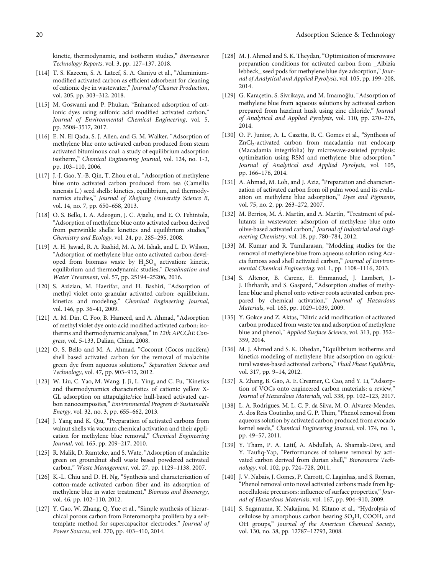<span id="page-21-0"></span>kinetic, thermodynamic, and isotherm studies," Bioresource Technology Reports, vol. 3, pp. 127–137, 2018.

- [114] T. S. Kazeem, S. A. Lateef, S. A. Ganiyu et al., "Aluminiummodified activated carbon as efficient adsorbent for cleaning of cationic dye in wastewater," Journal of Cleaner Production, vol. 205, pp. 303–312, 2018.
- [115] M. Goswami and P. Phukan, "Enhanced adsorption of cationic dyes using sulfonic acid modified activated carbon," Journal of Environmental Chemical Engineering, vol. 5, pp. 3508–3517, 2017.
- [116] E. N. El Qada, S. J. Allen, and G. M. Walker, "Adsorption of methylene blue onto activated carbon produced from steam activated bituminous coal: a study of equilibrium adsorption isotherm," Chemical Engineering Journal, vol. 124, no. 1-3, pp. 103–110, 2006.
- [117] J.-J. Gao, Y.-B. Qin, T. Zhou et al., "Adsorption of methylene blue onto activated carbon produced from tea (Camellia sinensis L.) seed shells: kinetics, equilibrium, and thermodynamics studies," Journal of Zhejiang University Science B, vol. 14, no. 7, pp. 650–658, 2013.
- [118] O. S. Bello, I. A. Adeogun, J. C. Ajaelu, and E. O. Fehintola, "Adsorption of methylene blue onto activated carbon derived from periwinkle shells: kinetics and equilibrium studies," Chemistry and Ecology, vol. 24, pp. 285–295, 2008.
- [119] A. H. Jawad, R. A. Rashid, M. A. M. Ishak, and L. D. Wilson, "Adsorption of methylene blue onto activated carbon developed from biomass waste by  $H_2SO_4$  activation: kinetic, equilibrium and thermodynamic studies," Desalination and Water Treatment, vol. 57, pp. 25194–25206, 2016.
- [120] S. Azizian, M. Haerifar, and H. Bashiri, "Adsorption of methyl violet onto granular activated carbon: equilibrium, kinetics and modeling," Chemical Engineering Journal, vol. 146, pp. 36–41, 2009.
- [121] A. M. Din, C. Foo, B. Hameed, and A. Ahmad, "Adsorption of methyl violet dye onto acid modified activated carbon: isotherms and thermodynamic analyses," in 12th APCChE Congress, vol. 5-133, Dalian, China, 2008.
- [122] O. S. Bello and M. A. Ahmad, "Coconut (Cocos nucifera) shell based activated carbon for the removal of malachite green dye from aqueous solutions," Separation Science and Technology, vol. 47, pp. 903–912, 2012.
- [123] W. Liu, C. Yao, M. Wang, J. Ji, L. Ying, and C. Fu, "Kinetics and thermodynamics characteristics of cationic yellow X-GL adsorption on attapulgite/rice hull-based activated carbon nanocomposites," Environmental Progress & Sustainable Energy, vol. 32, no. 3, pp. 655–662, 2013.
- [124] J. Yang and K. Qiu, "Preparation of activated carbons from walnut shells via vacuum chemical activation and their application for methylene blue removal," Chemical Engineering Journal, vol. 165, pp. 209–217, 2010.
- [125] R. Malik, D. Ramteke, and S. Wate, "Adsorption of malachite green on groundnut shell waste based powdered activated carbon," Waste Management, vol. 27, pp. 1129–1138, 2007.
- [126] K.-L. Chiu and D. H. Ng, "Synthesis and characterization of cotton-made activated carbon fiber and its adsorption of methylene blue in water treatment," Biomass and Bioenergy, vol. 46, pp. 102–110, 2012.
- [127] Y. Gao, W. Zhang, Q. Yue et al., "Simple synthesis of hierarchical porous carbon from Enteromorpha prolifera by a selftemplate method for supercapacitor electrodes," Journal of Power Sources, vol. 270, pp. 403–410, 2014.
- [128] M. J. Ahmed and S. K. Theydan, "Optimization of microwave preparation conditions for activated carbon from \_Albizia lebbeck\_ seed pods for methylene blue dye adsorption," Journal of Analytical and Applied Pyrolysis, vol. 105, pp. 199–208, 2014.
- [129] G. Karaçetin, S. Sivrikaya, and M. Imamoğlu, "Adsorption of methylene blue from aqueous solutions by activated carbon prepared from hazelnut husk using zinc chloride," Journal of Analytical and Applied Pyrolysis, vol. 110, pp. 270–276, 2014.
- [130] O. P. Junior, A. L. Cazetta, R. C. Gomes et al., "Synthesis of  $ZnCl<sub>2</sub>$ -activated carbon from macadamia nut endocarp (Macadamia integrifolia) by microwave-assisted pyrolysis: optimization using RSM and methylene blue adsorption," Journal of Analytical and Applied Pyrolysis, vol. 105, pp. 166–176, 2014.
- [131] A. Ahmad, M. Loh, and J. Aziz, "Preparation and characterization of activated carbon from oil palm wood and its evaluation on methylene blue adsorption," Dyes and Pigments, vol. 75, no. 2, pp. 263–272, 2007.
- [132] M. Berrios, M. Á. Martín, and A. Martín, "Treatment of pollutants in wastewater: adsorption of methylene blue onto olive-based activated carbon," Journal of Industrial and Engineering Chemistry, vol. 18, pp. 780–784, 2012.
- [133] M. Kumar and R. Tamilarasan, "Modeling studies for the removal of methylene blue from aqueous solution using Acacia fumosa seed shell activated carbon," Journal of Environmental Chemical Engineering, vol. 1, pp. 1108–1116, 2013.
- [134] S. Altenor, B. Carene, E. Emmanuel, J. Lambert, J.- J. Ehrhardt, and S. Gaspard, "Adsorption studies of methylene blue and phenol onto vetiver roots activated carbon prepared by chemical activation," Journal of Hazardous Materials, vol. 165, pp. 1029–1039, 2009.
- [135] Y. Gokce and Z. Aktas, "Nitric acid modification of activated carbon produced from waste tea and adsorption of methylene blue and phenol," Applied Surface Science, vol. 313, pp. 352– 359, 2014.
- [136] M. J. Ahmed and S. K. Dhedan, "Equilibrium isotherms and kinetics modeling of methylene blue adsorption on agricultural wastes-based activated carbons," Fluid Phase Equilibria, vol. 317, pp. 9–14, 2012.
- [137] X. Zhang, B. Gao, A. E. Creamer, C. Cao, and Y. Li, "Adsorption of VOCs onto engineered carbon materials: a review," Journal of Hazardous Materials, vol. 338, pp. 102–123, 2017.
- [138] L. A. Rodrigues, M. L. C. P. da Silva, M. O. Alvarez-Mendes, A. dos Reis Coutinho, and G. P. Thim, "Phenol removal from aqueous solution by activated carbon produced from avocado kernel seeds," Chemical Engineering Journal, vol. 174, no. 1, pp. 49–57, 2011.
- [139] Y. Tham, P. A. Latif, A. Abdullah, A. Shamala-Devi, and Y. Taufiq-Yap, "Performances of toluene removal by activated carbon derived from durian shell," Bioresource Technology, vol. 102, pp. 724–728, 2011.
- [140] J. V. Nabais, J. Gomes, P. Carrott, C. Laginhas, and S. Roman, "Phenol removal onto novel activated carbons made from lignocellulosic precursors: influence of surface properties,"Journal of Hazardous Materials, vol. 167, pp. 904–910, 2009.
- [141] S. Suganuma, K. Nakajima, M. Kitano et al., "Hydrolysis of cellulose by amorphous carbon bearing  $SO<sub>3</sub>H$ , COOH, and OH groups," Journal of the American Chemical Society, vol. 130, no. 38, pp. 12787–12793, 2008.